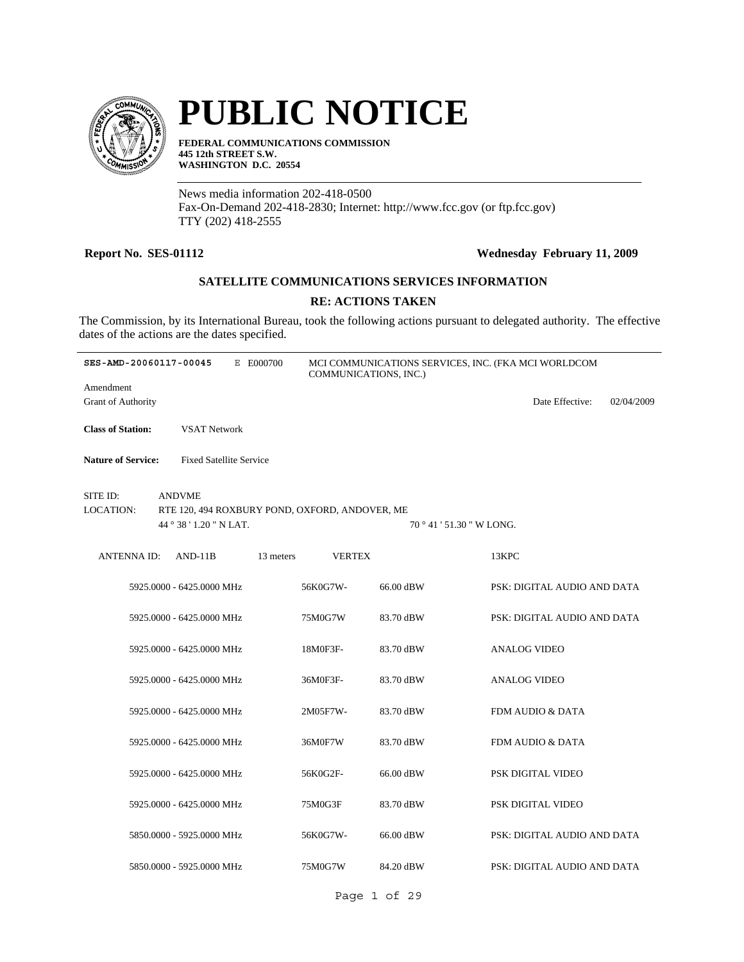

# **PUBLIC NOTICE**

**FEDERAL COMMUNICATIONS COMMISSION 445 12th STREET S.W. WASHINGTON D.C. 20554**

News media information 202-418-0500 Fax-On-Demand 202-418-2830; Internet: http://www.fcc.gov (or ftp.fcc.gov) TTY (202) 418-2555

# **Report No. SES-01112 Wednesday February 11, 2009**

# **SATELLITE COMMUNICATIONS SERVICES INFORMATION**

# **RE: ACTIONS TAKEN**

The Commission, by its International Bureau, took the following actions pursuant to delegated authority. The effective dates of the actions are the dates specified.

| SES-AMD-20060117-00045                 |                                                                                            | E E000700 | COMMUNICATIONS, INC.) |                           | MCI COMMUNICATIONS SERVICES, INC. (FKA MCI WORLDCOM |            |
|----------------------------------------|--------------------------------------------------------------------------------------------|-----------|-----------------------|---------------------------|-----------------------------------------------------|------------|
| Amendment<br><b>Grant of Authority</b> |                                                                                            |           |                       |                           | Date Effective:                                     | 02/04/2009 |
| <b>Class of Station:</b>               | <b>VSAT Network</b>                                                                        |           |                       |                           |                                                     |            |
| <b>Nature of Service:</b>              | <b>Fixed Satellite Service</b>                                                             |           |                       |                           |                                                     |            |
| SITE ID:<br>LOCATION:                  | <b>ANDVME</b><br>RTE 120, 494 ROXBURY POND, OXFORD, ANDOVER, ME<br>44 ° 38 ' 1.20 " N LAT. |           |                       | 70 ° 41 ' 51.30 " W LONG. |                                                     |            |
| <b>ANTENNAID:</b>                      | $AND-11B$                                                                                  | 13 meters | <b>VERTEX</b>         |                           | 13KPC                                               |            |
|                                        | 5925.0000 - 6425.0000 MHz                                                                  |           | 56K0G7W-              | 66.00 dBW                 | PSK: DIGITAL AUDIO AND DATA                         |            |
|                                        | 5925.0000 - 6425.0000 MHz                                                                  |           | 75M0G7W               | 83.70 dBW                 | PSK: DIGITAL AUDIO AND DATA                         |            |
|                                        | 5925,0000 - 6425,0000 MHz                                                                  |           | 18M0F3F-              | 83.70 dBW                 | <b>ANALOG VIDEO</b>                                 |            |
|                                        | 5925,0000 - 6425,0000 MHz                                                                  |           | 36M0F3F-              | 83.70 dBW                 | <b>ANALOG VIDEO</b>                                 |            |
|                                        | 5925.0000 - 6425.0000 MHz                                                                  |           | 2M05F7W-              | 83.70 dBW                 | FDM AUDIO & DATA                                    |            |
|                                        | 5925.0000 - 6425.0000 MHz                                                                  |           | 36M0F7W               | 83.70 dBW                 | FDM AUDIO & DATA                                    |            |
|                                        | 5925.0000 - 6425.0000 MHz                                                                  |           | 56K0G2F-              | 66.00 dBW                 | PSK DIGITAL VIDEO                                   |            |
|                                        | 5925,0000 - 6425,0000 MHz                                                                  |           | 75M0G3F               | 83.70 dBW                 | PSK DIGITAL VIDEO                                   |            |
|                                        | 5850.0000 - 5925.0000 MHz                                                                  |           | 56K0G7W-              | 66.00 dBW                 | PSK: DIGITAL AUDIO AND DATA                         |            |
|                                        | 5850,0000 - 5925,0000 MHz                                                                  |           | 75M0G7W               | 84.20 dBW                 | PSK: DIGITAL AUDIO AND DATA                         |            |

Page 1 of 29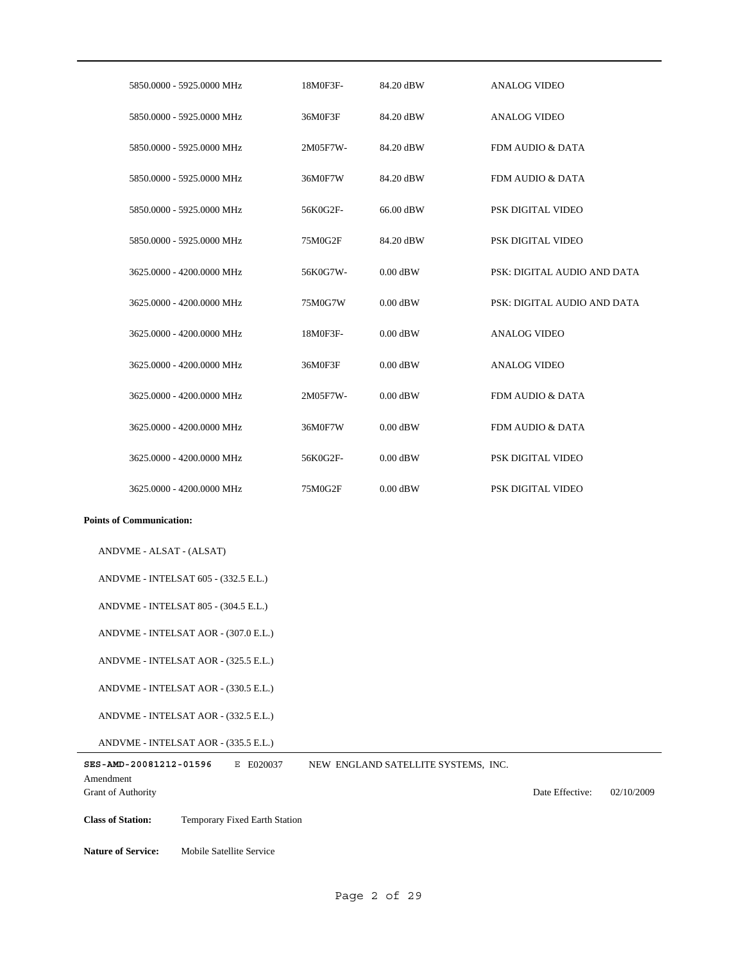| 5850,0000 - 5925,0000 MHz | 18M0F3F- | 84.20 dBW  | <b>ANALOG VIDEO</b>         |
|---------------------------|----------|------------|-----------------------------|
| 5850,0000 - 5925,0000 MHz | 36M0F3F  | 84.20 dBW  | <b>ANALOG VIDEO</b>         |
| 5850,0000 - 5925,0000 MHz | 2M05F7W- | 84.20 dBW  | FDM AUDIO & DATA            |
| 5850,0000 - 5925,0000 MHz | 36M0F7W  | 84.20 dBW  | FDM AUDIO & DATA            |
| 5850,0000 - 5925,0000 MHz | 56K0G2F- | 66.00 dBW  | PSK DIGITAL VIDEO           |
| 5850,0000 - 5925,0000 MHz | 75M0G2F  | 84.20 dBW  | PSK DIGITAL VIDEO           |
| 3625,0000 - 4200,0000 MHz | 56K0G7W- | $0.00$ dBW | PSK: DIGITAL AUDIO AND DATA |
| 3625,0000 - 4200,0000 MHz | 75M0G7W  | $0.00$ dBW | PSK: DIGITAL AUDIO AND DATA |
| 3625,0000 - 4200,0000 MHz | 18M0F3F- | $0.00$ dBW | ANALOG VIDEO                |
| 3625,0000 - 4200,0000 MHz | 36M0F3F  | $0.00$ dBW | <b>ANALOG VIDEO</b>         |
| 3625,0000 - 4200,0000 MHz | 2M05F7W- | $0.00$ dBW | FDM AUDIO & DATA            |
| 3625,0000 - 4200,0000 MHz | 36M0F7W  | $0.00$ dBW | FDM AUDIO & DATA            |
| 3625,0000 - 4200,0000 MHz | 56K0G2F- | $0.00$ dBW | PSK DIGITAL VIDEO           |
| 3625,0000 - 4200,0000 MHz | 75M0G2F  | $0.00$ dBW | PSK DIGITAL VIDEO           |

ANDVME - ALSAT - (ALSAT)

ANDVME - INTELSAT 605 - (332.5 E.L.)

ANDVME - INTELSAT 805 - (304.5 E.L.)

ANDVME - INTELSAT AOR - (307.0 E.L.)

ANDVME - INTELSAT AOR - (325.5 E.L.)

ANDVME - INTELSAT AOR - (330.5 E.L.)

ANDVME - INTELSAT AOR - (332.5 E.L.)

ANDVME - INTELSAT AOR - (335.5 E.L.)

| SES-AMD-20081212-01596    | E E020037 | NEW ENGLAND SATELLITE SYSTEMS. INC. |                 |            |
|---------------------------|-----------|-------------------------------------|-----------------|------------|
| Amendment                 |           |                                     |                 |            |
| <b>Grant of Authority</b> |           |                                     | Date Effective: | 02/10/2009 |
|                           |           |                                     |                 |            |

**Class of Station:** Temporary Fixed Earth Station

**Nature of Service:** Mobile Satellite Service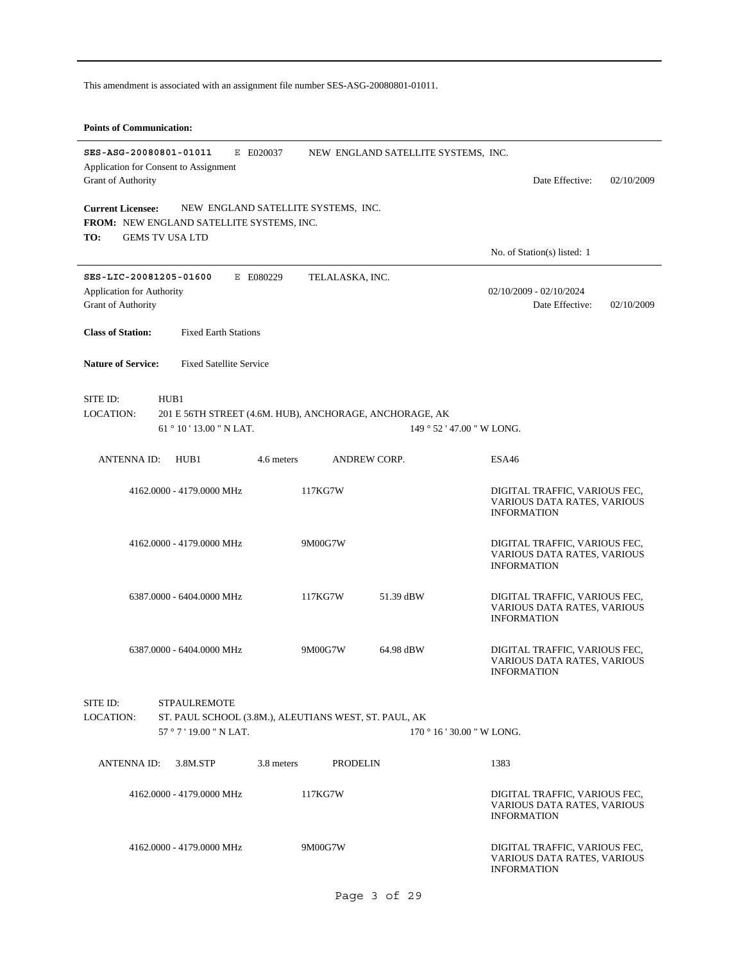This amendment is associated with an assignment file number SES-ASG-20080801-01011.

#### **Points of Communication:**

| SES-ASG-20080801-01011<br>E E020037                                |                                                         |                                                              |
|--------------------------------------------------------------------|---------------------------------------------------------|--------------------------------------------------------------|
| Application for Consent to Assignment                              | NEW ENGLAND SATELLITE SYSTEMS, INC.                     |                                                              |
| Grant of Authority                                                 |                                                         | Date Effective:<br>02/10/2009                                |
| <b>Current Licensee:</b><br>NEW ENGLAND SATELLITE SYSTEMS, INC.    |                                                         |                                                              |
| <b>FROM: NEW ENGLAND SATELLITE SYSTEMS, INC.</b>                   |                                                         |                                                              |
| TO:<br><b>GEMS TV USA LTD</b>                                      |                                                         | No. of Station(s) listed: 1                                  |
| SES-LIC-20081205-01600<br>E E080229                                | TELALASKA, INC.                                         |                                                              |
| <b>Application for Authority</b>                                   |                                                         | 02/10/2009 - 02/10/2024                                      |
| Grant of Authority                                                 |                                                         | Date Effective:<br>02/10/2009                                |
| <b>Class of Station:</b><br><b>Fixed Earth Stations</b>            |                                                         |                                                              |
| <b>Nature of Service:</b><br><b>Fixed Satellite Service</b>        |                                                         |                                                              |
| SITE ID:<br>HUB1                                                   |                                                         |                                                              |
| LOCATION:                                                          | 201 E 56TH STREET (4.6M. HUB), ANCHORAGE, ANCHORAGE, AK |                                                              |
| 61°10'13.00" N LAT.                                                | 149 ° 52 ' 47.00 " W LONG.                              |                                                              |
| <b>ANTENNAID:</b><br>HUB1<br>4.6 meters                            | <b>ANDREW CORP.</b>                                     | ESA46                                                        |
| 4162.0000 - 4179.0000 MHz                                          | 117KG7W                                                 | DIGITAL TRAFFIC, VARIOUS FEC,                                |
|                                                                    |                                                         | VARIOUS DATA RATES, VARIOUS<br><b>INFORMATION</b>            |
|                                                                    |                                                         |                                                              |
| 4162.0000 - 4179.0000 MHz                                          | 9M00G7W                                                 | DIGITAL TRAFFIC, VARIOUS FEC,<br>VARIOUS DATA RATES, VARIOUS |
|                                                                    |                                                         | <b>INFORMATION</b>                                           |
| 6387.0000 - 6404.0000 MHz                                          | 117KG7W<br>51.39 dBW                                    | DIGITAL TRAFFIC, VARIOUS FEC,                                |
|                                                                    |                                                         | VARIOUS DATA RATES, VARIOUS<br><b>INFORMATION</b>            |
|                                                                    |                                                         |                                                              |
| 6387.0000 - 6404.0000 MHz                                          | 9M00G7W<br>64.98 dBW                                    | DIGITAL TRAFFIC, VARIOUS FEC,<br>VARIOUS DATA RATES, VARIOUS |
|                                                                    |                                                         | <b>INFORMATION</b>                                           |
| SITE ID:<br><b>STPAULREMOTE</b>                                    |                                                         |                                                              |
| ST. PAUL SCHOOL (3.8M.), ALEUTIANS WEST, ST. PAUL, AK<br>LOCATION: |                                                         |                                                              |
| $57°7'19.00"$ N LAT.                                               | $170$ $^{\circ}$ 16 ' 30.00 " W LONG.                   |                                                              |
| ANTENNA ID:<br>3.8M.STP<br>3.8 meters                              | PRODELIN                                                | 1383                                                         |
| 4162,0000 - 4179,0000 MHz                                          | 117KG7W                                                 | DIGITAL TRAFFIC, VARIOUS FEC,                                |
|                                                                    |                                                         | VARIOUS DATA RATES, VARIOUS<br><b>INFORMATION</b>            |
|                                                                    |                                                         |                                                              |
| 4162.0000 - 4179.0000 MHz                                          | 9M00G7W                                                 | DIGITAL TRAFFIC, VARIOUS FEC,<br>VARIOUS DATA RATES, VARIOUS |
|                                                                    |                                                         | <b>INFORMATION</b>                                           |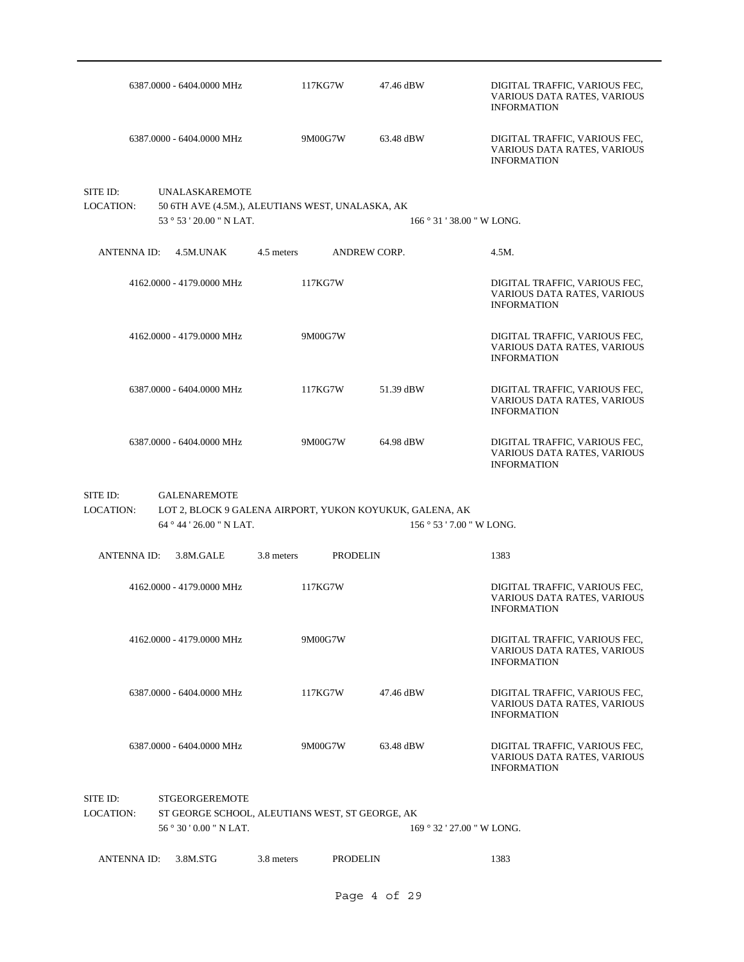| 6387.0000 - 6404.0000 MHz                                                  | 117KG7W                                                  | 47.46 dBW       | DIGITAL TRAFFIC, VARIOUS FEC,<br>VARIOUS DATA RATES, VARIOUS<br><b>INFORMATION</b> |
|----------------------------------------------------------------------------|----------------------------------------------------------|-----------------|------------------------------------------------------------------------------------|
| 6387.0000 - 6404.0000 MHz                                                  | 9M00G7W                                                  | 63.48 dBW       | DIGITAL TRAFFIC, VARIOUS FEC.<br>VARIOUS DATA RATES, VARIOUS<br><b>INFORMATION</b> |
| SITE ID:<br><b>UNALASKAREMOTE</b><br>LOCATION:<br>53 ° 53 ' 20.00 " N LAT. | 50 6TH AVE (4.5M.), ALEUTIANS WEST, UNALASKA, AK         |                 | 166 ° 31 ' 38.00 " W LONG.                                                         |
| ANTENNA ID:<br>4.5M.UNAK                                                   | 4.5 meters                                               | ANDREW CORP.    | 4.5M.                                                                              |
| 4162.0000 - 4179.0000 MHz                                                  | 117KG7W                                                  |                 | DIGITAL TRAFFIC, VARIOUS FEC,<br>VARIOUS DATA RATES, VARIOUS<br><b>INFORMATION</b> |
| 4162,0000 - 4179,0000 MHz                                                  | 9M00G7W                                                  |                 | DIGITAL TRAFFIC, VARIOUS FEC,<br>VARIOUS DATA RATES, VARIOUS<br><b>INFORMATION</b> |
| 6387.0000 - 6404.0000 MHz                                                  | 117KG7W                                                  | 51.39 dBW       | DIGITAL TRAFFIC, VARIOUS FEC,<br>VARIOUS DATA RATES, VARIOUS<br><b>INFORMATION</b> |
| 6387.0000 - 6404.0000 MHz                                                  | 9M00G7W                                                  | 64.98 dBW       | DIGITAL TRAFFIC, VARIOUS FEC,<br>VARIOUS DATA RATES, VARIOUS<br><b>INFORMATION</b> |
| SITE ID:<br><b>GALENAREMOTE</b><br>LOCATION:<br>64 ° 44 ' 26.00 " N LAT.   | LOT 2, BLOCK 9 GALENA AIRPORT, YUKON KOYUKUK, GALENA, AK |                 | 156 ° 53 ' 7.00 " W LONG.                                                          |
|                                                                            |                                                          |                 |                                                                                    |
| <b>ANTENNA ID:</b><br>3.8M.GALE                                            | 3.8 meters                                               | <b>PRODELIN</b> | 1383                                                                               |
| 4162,0000 - 4179,0000 MHz                                                  | 117KG7W                                                  |                 | DIGITAL TRAFFIC, VARIOUS FEC,<br>VARIOUS DATA RATES, VARIOUS<br><b>INFORMATION</b> |
| 4162,0000 - 4179,0000 MHz                                                  | 9M00G7W                                                  |                 | DIGITAL TRAFFIC, VARIOUS FEC.<br>VARIOUS DATA RATES, VARIOUS<br><b>INFORMATION</b> |
| 6387.0000 - 6404.0000 MHz                                                  | 117KG7W                                                  | 47.46 dBW       | DIGITAL TRAFFIC, VARIOUS FEC,<br>VARIOUS DATA RATES, VARIOUS<br><b>INFORMATION</b> |
| 6387.0000 - 6404.0000 MHz                                                  | 9M00G7W                                                  | 63.48 dBW       | DIGITAL TRAFFIC, VARIOUS FEC,<br>VARIOUS DATA RATES, VARIOUS<br><b>INFORMATION</b> |
| SITE ID:<br><b>STGEORGEREMOTE</b><br>LOCATION:<br>56 ° 30 ' 0.00 " N LAT.  | ST GEORGE SCHOOL, ALEUTIANS WEST, ST GEORGE, AK          |                 | 169 ° 32 ' 27.00 " W LONG.                                                         |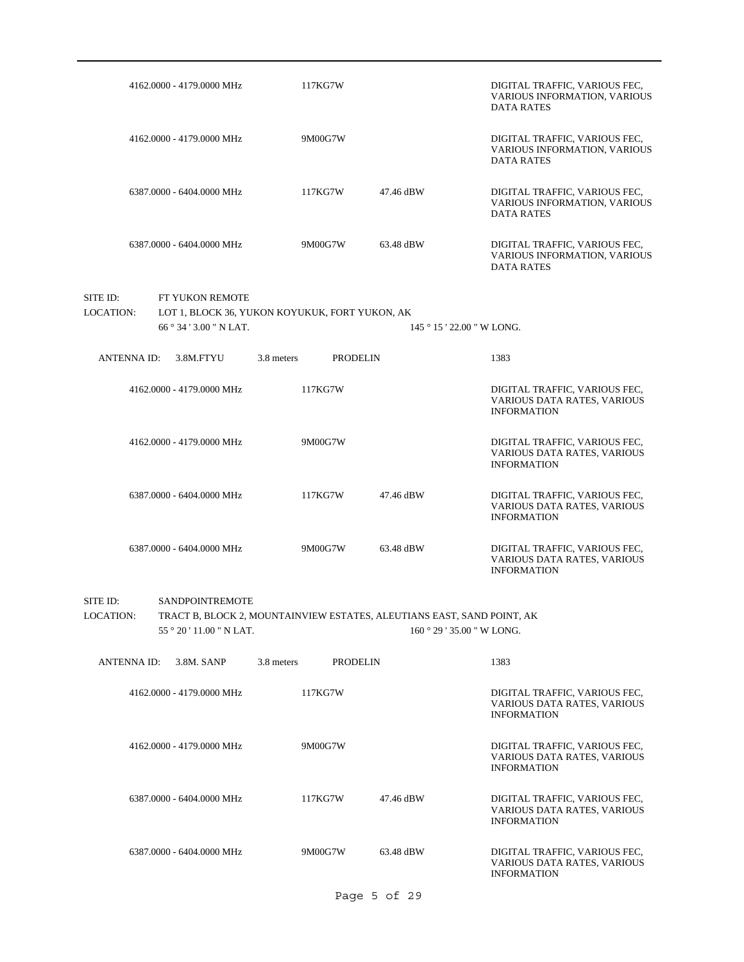|                       | 4162.0000 - 4179.0000 MHz                     | 117KG7W                                                                |                 | DIGITAL TRAFFIC, VARIOUS FEC,<br><b>VARIOUS INFORMATION, VARIOUS</b><br><b>DATA RATES</b> |
|-----------------------|-----------------------------------------------|------------------------------------------------------------------------|-----------------|-------------------------------------------------------------------------------------------|
|                       | 4162.0000 - 4179.0000 MHz                     | 9M00G7W                                                                |                 | DIGITAL TRAFFIC, VARIOUS FEC,<br>VARIOUS INFORMATION, VARIOUS<br><b>DATA RATES</b>        |
|                       | 6387.0000 - 6404.0000 MHz                     | 117KG7W                                                                | 47.46 dBW       | DIGITAL TRAFFIC, VARIOUS FEC,<br>VARIOUS INFORMATION, VARIOUS<br><b>DATA RATES</b>        |
|                       | 6387.0000 - 6404.0000 MHz                     | 9M00G7W                                                                | 63.48 dBW       | DIGITAL TRAFFIC, VARIOUS FEC,<br>VARIOUS INFORMATION, VARIOUS<br><b>DATA RATES</b>        |
| SITE ID:              | FT YUKON REMOTE                               |                                                                        |                 |                                                                                           |
| <b>LOCATION:</b>      |                                               | LOT 1, BLOCK 36, YUKON KOYUKUK, FORT YUKON, AK                         |                 |                                                                                           |
|                       | 66 ° 34 ' 3.00 " N LAT.                       |                                                                        |                 | 145 ° 15 ' 22.00 " W LONG.                                                                |
| ANTENNA ID:           | 3.8M.FTYU                                     | 3.8 meters                                                             | <b>PRODELIN</b> | 1383                                                                                      |
|                       |                                               |                                                                        |                 |                                                                                           |
|                       | 4162.0000 - 4179.0000 MHz                     | 117KG7W                                                                |                 | DIGITAL TRAFFIC, VARIOUS FEC,<br>VARIOUS DATA RATES, VARIOUS<br><b>INFORMATION</b>        |
|                       | 4162.0000 - 4179.0000 MHz                     | 9M00G7W                                                                |                 | DIGITAL TRAFFIC, VARIOUS FEC,<br>VARIOUS DATA RATES, VARIOUS<br><b>INFORMATION</b>        |
|                       | 6387.0000 - 6404.0000 MHz                     | 117KG7W                                                                | 47.46 dBW       | DIGITAL TRAFFIC, VARIOUS FEC,<br>VARIOUS DATA RATES, VARIOUS<br><b>INFORMATION</b>        |
|                       | 6387.0000 - 6404.0000 MHz                     | 9M00G7W                                                                | 63.48 dBW       | DIGITAL TRAFFIC, VARIOUS FEC,<br>VARIOUS DATA RATES, VARIOUS<br><b>INFORMATION</b>        |
| SITE ID:<br>LOCATION: | <b>SANDPOINTREMOTE</b><br>55°20'11.00" N LAT. | TRACT B, BLOCK 2, MOUNTAINVIEW ESTATES, ALEUTIANS EAST, SAND POINT, AK |                 | $160°29'35.00''$ W LONG.                                                                  |
| <b>ANTENNA ID:</b>    | 3.8M. SANP                                    | 3.8 meters                                                             | <b>PRODELIN</b> | 1383                                                                                      |
|                       | 4162.0000 - 4179.0000 MHz                     | 117KG7W                                                                |                 | DIGITAL TRAFFIC, VARIOUS FEC,<br>VARIOUS DATA RATES, VARIOUS<br><b>INFORMATION</b>        |
|                       | 4162.0000 - 4179.0000 MHz                     | 9M00G7W                                                                |                 | DIGITAL TRAFFIC, VARIOUS FEC,<br>VARIOUS DATA RATES, VARIOUS<br><b>INFORMATION</b>        |
|                       | 6387.0000 - 6404.0000 MHz                     | 117KG7W                                                                | 47.46 dBW       | DIGITAL TRAFFIC, VARIOUS FEC,<br>VARIOUS DATA RATES, VARIOUS<br><b>INFORMATION</b>        |
|                       | 6387.0000 - 6404.0000 MHz                     | 9M00G7W                                                                | 63.48 dBW       | DIGITAL TRAFFIC, VARIOUS FEC,<br>VARIOUS DATA RATES, VARIOUS<br><b>INFORMATION</b>        |
|                       |                                               |                                                                        | Page 5 of 29    |                                                                                           |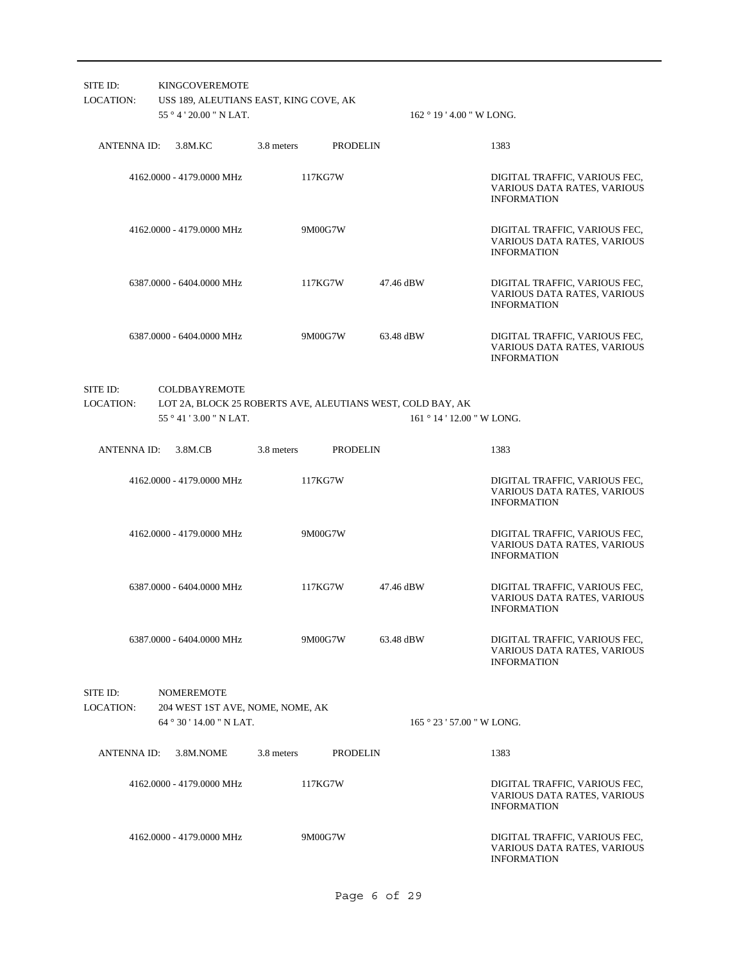| SITE ID:<br><b>LOCATION:</b> | <b>KINGCOVEREMOTE</b><br>USS 189, ALEUTIANS EAST, KING COVE, AK<br>$55^{\circ}4'20.00''$ N LAT. |            | $162 \degree 19$ ' 4.00 " W LONG.                          |                                                                                    |
|------------------------------|-------------------------------------------------------------------------------------------------|------------|------------------------------------------------------------|------------------------------------------------------------------------------------|
| ANTENNA ID:                  | 3.8M.KC                                                                                         | 3.8 meters | PRODELIN                                                   | 1383                                                                               |
|                              | 4162,0000 - 4179,0000 MHz                                                                       | 117KG7W    |                                                            | DIGITAL TRAFFIC, VARIOUS FEC,<br>VARIOUS DATA RATES, VARIOUS<br><b>INFORMATION</b> |
|                              | 4162.0000 - 4179.0000 MHz                                                                       | 9M00G7W    |                                                            | DIGITAL TRAFFIC, VARIOUS FEC.<br>VARIOUS DATA RATES, VARIOUS<br><b>INFORMATION</b> |
|                              | 6387.0000 - 6404.0000 MHz                                                                       | 117KG7W    | 47.46 dBW                                                  | DIGITAL TRAFFIC, VARIOUS FEC,<br>VARIOUS DATA RATES, VARIOUS<br><b>INFORMATION</b> |
|                              | 6387.0000 - 6404.0000 MHz                                                                       | 9M00G7W    | 63.48 dBW                                                  | DIGITAL TRAFFIC, VARIOUS FEC,<br>VARIOUS DATA RATES, VARIOUS<br><b>INFORMATION</b> |
| SITE ID:                     | <b>COLDBAYREMOTE</b>                                                                            |            |                                                            |                                                                                    |
| LOCATION:                    |                                                                                                 |            | LOT 2A, BLOCK 25 ROBERTS AVE, ALEUTIANS WEST, COLD BAY, AK |                                                                                    |
|                              | $55^{\circ}41'3.00''$ N LAT.                                                                    |            | 161 ° 14 ' 12.00 " W LONG.                                 |                                                                                    |
| ANTENNA ID:                  | 3.8M.CB                                                                                         | 3.8 meters | <b>PRODELIN</b>                                            | 1383                                                                               |
|                              | 4162,0000 - 4179,0000 MHz                                                                       | 117KG7W    |                                                            | DIGITAL TRAFFIC, VARIOUS FEC,<br>VARIOUS DATA RATES, VARIOUS<br><b>INFORMATION</b> |
|                              | 4162.0000 - 4179.0000 MHz                                                                       | 9M00G7W    |                                                            | DIGITAL TRAFFIC, VARIOUS FEC,<br>VARIOUS DATA RATES, VARIOUS<br><b>INFORMATION</b> |
|                              | 6387.0000 - 6404.0000 MHz                                                                       | 117KG7W    | 47.46 dBW                                                  | DIGITAL TRAFFIC, VARIOUS FEC,<br>VARIOUS DATA RATES, VARIOUS<br><b>INFORMATION</b> |
|                              | 6387.0000 - 6404.0000 MHz                                                                       | 9M00G7W    | 63.48 dBW                                                  | DIGITAL TRAFFIC, VARIOUS FEC,<br>VARIOUS DATA RATES, VARIOUS<br><b>INFORMATION</b> |
| SITE ID:<br><b>LOCATION:</b> | <b>NOMEREMOTE</b><br>204 WEST 1ST AVE, NOME, NOME, AK                                           |            |                                                            |                                                                                    |
|                              | 64°30'14.00''N LAT.                                                                             |            | $165°23'57.00''$ W LONG.                                   |                                                                                    |
| <b>ANTENNA ID:</b>           | 3.8M.NOME                                                                                       | 3.8 meters | <b>PRODELIN</b>                                            | 1383                                                                               |
|                              | 4162.0000 - 4179.0000 MHz                                                                       | 117KG7W    |                                                            | DIGITAL TRAFFIC, VARIOUS FEC,<br>VARIOUS DATA RATES, VARIOUS<br><b>INFORMATION</b> |
|                              | 4162.0000 - 4179.0000 MHz                                                                       | 9M00G7W    |                                                            | DIGITAL TRAFFIC, VARIOUS FEC,<br>VARIOUS DATA RATES, VARIOUS<br><b>INFORMATION</b> |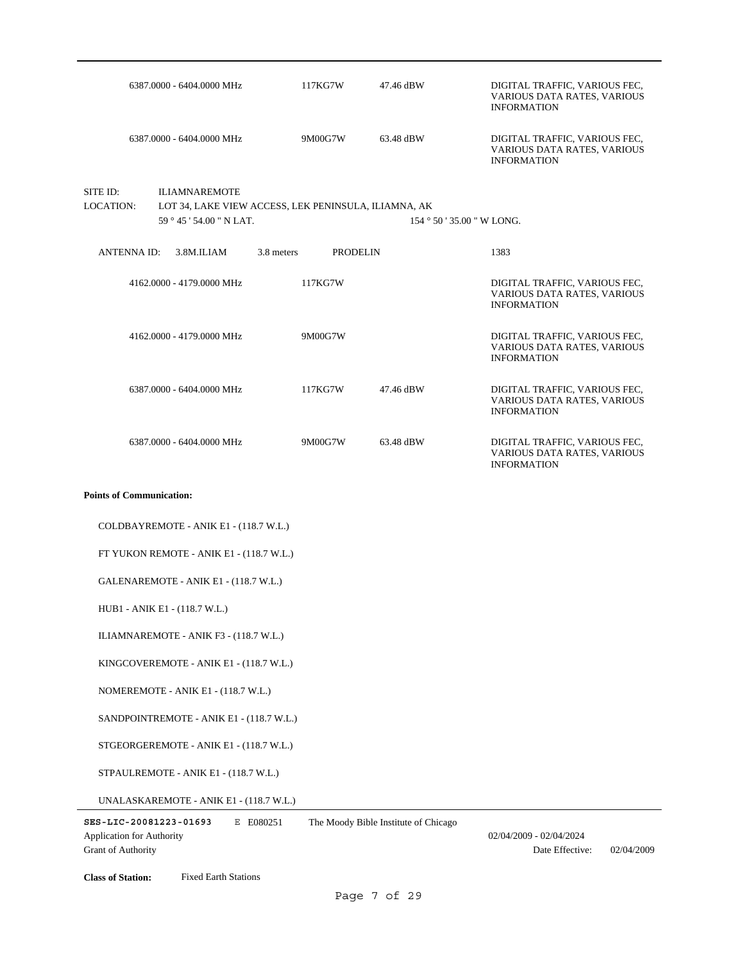| 6387.0000 - 6404.0000 MHz                                                 | 117KG7W                                              | 47.46 dBW | DIGITAL TRAFFIC, VARIOUS FEC,<br>VARIOUS DATA RATES, VARIOUS<br><b>INFORMATION</b> |
|---------------------------------------------------------------------------|------------------------------------------------------|-----------|------------------------------------------------------------------------------------|
| 6387.0000 - 6404.0000 MHz                                                 | 9M00G7W                                              | 63.48 dBW | DIGITAL TRAFFIC, VARIOUS FEC,<br>VARIOUS DATA RATES, VARIOUS<br><b>INFORMATION</b> |
| SITE ID:<br><b>ILIAMNAREMOTE</b><br>LOCATION:<br>59 ° 45 ' 54.00 " N LAT. | LOT 34, LAKE VIEW ACCESS, LEK PENINSULA, ILIAMNA, AK |           | $154°50'35.00"$ W LONG.                                                            |
| ANTENNA ID: 3.8M.ILIAM                                                    | 3.8 meters<br>PRODELIN                               |           | 1383                                                                               |
| 4162.0000 - 4179.0000 MHz                                                 | 117KG7W                                              |           | DIGITAL TRAFFIC, VARIOUS FEC,<br>VARIOUS DATA RATES, VARIOUS<br><b>INFORMATION</b> |
| 4162,0000 - 4179,0000 MHz                                                 | 9M00G7W                                              |           | DIGITAL TRAFFIC, VARIOUS FEC,<br>VARIOUS DATA RATES, VARIOUS<br><b>INFORMATION</b> |
| 6387.0000 - 6404.0000 MHz                                                 | 117KG7W                                              | 47.46 dBW | DIGITAL TRAFFIC, VARIOUS FEC,<br>VARIOUS DATA RATES, VARIOUS<br><b>INFORMATION</b> |
| 6387.0000 - 6404.0000 MHz                                                 | 9M00G7W                                              | 63.48 dBW | DIGITAL TRAFFIC, VARIOUS FEC,<br>VARIOUS DATA RATES, VARIOUS<br><b>INFORMATION</b> |
| <b>Points of Communication:</b>                                           |                                                      |           |                                                                                    |
| COLDBAYREMOTE - ANIK E1 - (118.7 W.L.)                                    |                                                      |           |                                                                                    |
| FT YUKON REMOTE - ANIK E1 - (118.7 W.L.)                                  |                                                      |           |                                                                                    |
| GALENAREMOTE - ANIK E1 - (118.7 W.L.)                                     |                                                      |           |                                                                                    |
| HUB1 - ANIK E1 - (118.7 W.L.)                                             |                                                      |           |                                                                                    |
| ILIAMNAREMOTE - ANIK F3 - (118.7 W.L.)                                    |                                                      |           |                                                                                    |
| KINGCOVEREMOTE - ANIK E1 - (118.7 W.L.)                                   |                                                      |           |                                                                                    |
| NOMEREMOTE - ANIK E1 - (118.7 W.L.)                                       |                                                      |           |                                                                                    |
| SANDPOINTREMOTE - ANIK E1 - (118.7 W.L.)                                  |                                                      |           |                                                                                    |
| STGEORGEREMOTE - ANIK E1 - (118.7 W.L.)                                   |                                                      |           |                                                                                    |

STPAULREMOTE - ANIK E1 - (118.7 W.L.)

UNALASKAREMOTE - ANIK E1 - (118.7 W.L.)

Grant of Authority

Date Effective: 02/04/2009

**Class of Station:** Fixed Earth Stations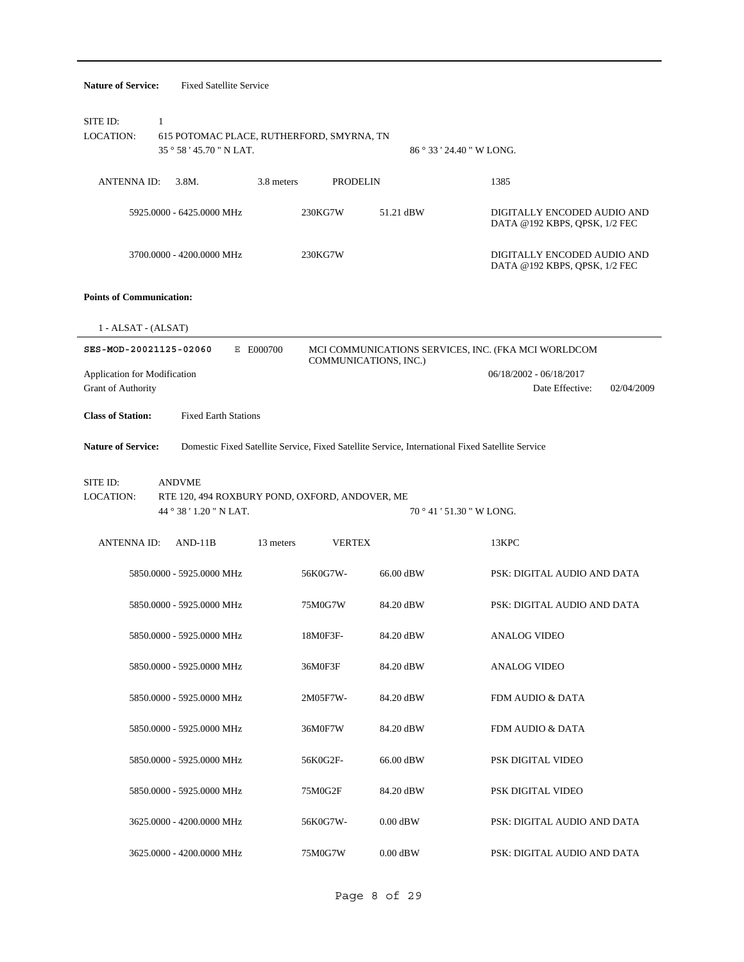| <b>Nature of Service:</b>                          | <b>Fixed Satellite Service</b>                                                                   |                       |                           |                                                              |
|----------------------------------------------------|--------------------------------------------------------------------------------------------------|-----------------------|---------------------------|--------------------------------------------------------------|
| SITE ID:<br>1<br><b>LOCATION:</b>                  | 615 POTOMAC PLACE, RUTHERFORD, SMYRNA, TN<br>35°58'45.70" N LAT.                                 |                       | 86 ° 33 ' 24.40 " W LONG. |                                                              |
| <b>ANTENNAID:</b>                                  | 3.8 meters<br>3.8M.                                                                              | <b>PRODELIN</b>       |                           | 1385                                                         |
|                                                    | 5925,0000 - 6425,0000 MHz                                                                        | 230KG7W               | 51.21 dBW                 | DIGITALLY ENCODED AUDIO AND<br>DATA @192 KBPS, QPSK, 1/2 FEC |
|                                                    | 3700.0000 - 4200.0000 MHz                                                                        | 230KG7W               |                           | DIGITALLY ENCODED AUDIO AND<br>DATA @192 KBPS, QPSK, 1/2 FEC |
| <b>Points of Communication:</b>                    |                                                                                                  |                       |                           |                                                              |
| $1 - ALSAT - (ALSAT)$                              |                                                                                                  |                       |                           |                                                              |
| SES-MOD-20021125-02060                             | E E000700                                                                                        | COMMUNICATIONS, INC.) |                           | MCI COMMUNICATIONS SERVICES, INC. (FKA MCI WORLDCOM          |
| Application for Modification<br>Grant of Authority |                                                                                                  |                       |                           | 06/18/2002 - 06/18/2017<br>Date Effective:<br>02/04/2009     |
| <b>Class of Station:</b>                           | <b>Fixed Earth Stations</b>                                                                      |                       |                           |                                                              |
| <b>Nature of Service:</b>                          | Domestic Fixed Satellite Service, Fixed Satellite Service, International Fixed Satellite Service |                       |                           |                                                              |
| SITE ID:<br>LOCATION:                              | <b>ANDVME</b><br>RTE 120, 494 ROXBURY POND, OXFORD, ANDOVER, ME<br>44 ° 38 ' 1.20 " N LAT.       |                       | 70 ° 41 ' 51.30 " W LONG. |                                                              |
| <b>ANTENNA ID:</b>                                 | $AND-11B$<br>13 meters                                                                           | <b>VERTEX</b>         |                           | 13KPC                                                        |
|                                                    | 5850.0000 - 5925.0000 MHz                                                                        | 56K0G7W-              | 66.00 dBW                 | PSK: DIGITAL AUDIO AND DATA                                  |
|                                                    | 5850.0000 - 5925.0000 MHz                                                                        | 75M0G7W               | 84.20 dBW                 | PSK: DIGITAL AUDIO AND DATA                                  |
|                                                    | 5850.0000 - 5925.0000 MHz                                                                        | 18M0F3F-              | 84.20 dBW                 | <b>ANALOG VIDEO</b>                                          |
|                                                    | 5850.0000 - 5925.0000 MHz                                                                        | 36M0F3F               | 84.20 dBW                 | <b>ANALOG VIDEO</b>                                          |
|                                                    | 5850.0000 - 5925.0000 MHz                                                                        | 2M05F7W-              | 84.20 dBW                 | FDM AUDIO & DATA                                             |
|                                                    | 5850.0000 - 5925.0000 MHz                                                                        | 36M0F7W               | 84.20 dBW                 | FDM AUDIO & DATA                                             |
|                                                    | 5850.0000 - 5925.0000 MHz                                                                        | 56K0G2F-              | 66.00 dBW                 | PSK DIGITAL VIDEO                                            |
|                                                    | 5850.0000 - 5925.0000 MHz                                                                        | 75M0G2F               | 84.20 dBW                 | PSK DIGITAL VIDEO                                            |
|                                                    | 3625.0000 - 4200.0000 MHz                                                                        | 56K0G7W-              | $0.00$ dBW                | PSK: DIGITAL AUDIO AND DATA                                  |
|                                                    | 3625.0000 - 4200.0000 MHz                                                                        | 75M0G7W               | $0.00$ dBW                | PSK: DIGITAL AUDIO AND DATA                                  |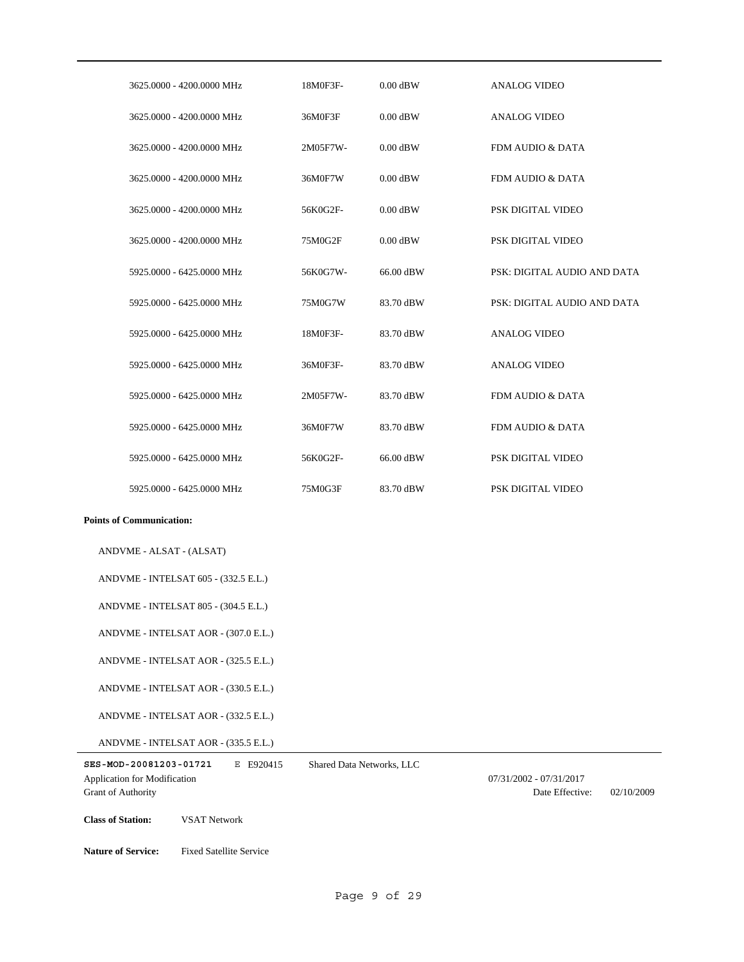| 3625,0000 - 4200,0000 MHz | 18M0F3F- | $0.00$ dBW | <b>ANALOG VIDEO</b>         |
|---------------------------|----------|------------|-----------------------------|
| 3625,0000 - 4200,0000 MHz | 36M0F3F  | $0.00$ dBW | <b>ANALOG VIDEO</b>         |
| 3625,0000 - 4200,0000 MHz | 2M05F7W- | $0.00$ dBW | FDM AUDIO & DATA            |
| 3625,0000 - 4200,0000 MHz | 36M0F7W  | $0.00$ dBW | FDM AUDIO & DATA            |
| 3625,0000 - 4200,0000 MHz | 56K0G2F- | $0.00$ dBW | PSK DIGITAL VIDEO           |
| 3625,0000 - 4200,0000 MHz | 75M0G2F  | $0.00$ dBW | PSK DIGITAL VIDEO           |
| 5925,0000 - 6425,0000 MHz | 56K0G7W- | 66.00 dBW  | PSK: DIGITAL AUDIO AND DATA |
| 5925,0000 - 6425,0000 MHz | 75M0G7W  | 83.70 dBW  | PSK: DIGITAL AUDIO AND DATA |
| 5925,0000 - 6425,0000 MHz | 18M0F3F- | 83.70 dBW  | <b>ANALOG VIDEO</b>         |
| 5925,0000 - 6425,0000 MHz | 36M0F3F- | 83.70 dBW  | <b>ANALOG VIDEO</b>         |
| 5925,0000 - 6425,0000 MHz | 2M05F7W- | 83.70 dBW  | FDM AUDIO & DATA            |
| 5925,0000 - 6425,0000 MHz | 36M0F7W  | 83.70 dBW  | FDM AUDIO & DATA            |
| 5925,0000 - 6425,0000 MHz | 56K0G2F- | 66.00 dBW  | PSK DIGITAL VIDEO           |
| 5925,0000 - 6425,0000 MHz | 75M0G3F  | 83.70 dBW  | PSK DIGITAL VIDEO           |

ANDVME - ALSAT - (ALSAT)

ANDVME - INTELSAT 605 - (332.5 E.L.)

ANDVME - INTELSAT 805 - (304.5 E.L.)

ANDVME - INTELSAT AOR - (307.0 E.L.)

ANDVME - INTELSAT AOR - (325.5 E.L.)

ANDVME - INTELSAT AOR - (330.5 E.L.)

ANDVME - INTELSAT AOR - (332.5 E.L.)

ANDVME - INTELSAT AOR - (335.5 E.L.)

**SES-MOD-20081203-01721** E E920415 Grant of Authority Application for Modification 07/31/2002 - 07/31/2017 Shared Data Networks, LLC

**Class of Station:** VSAT Network

**Nature of Service:** Fixed Satellite Service

Date Effective: 02/10/2009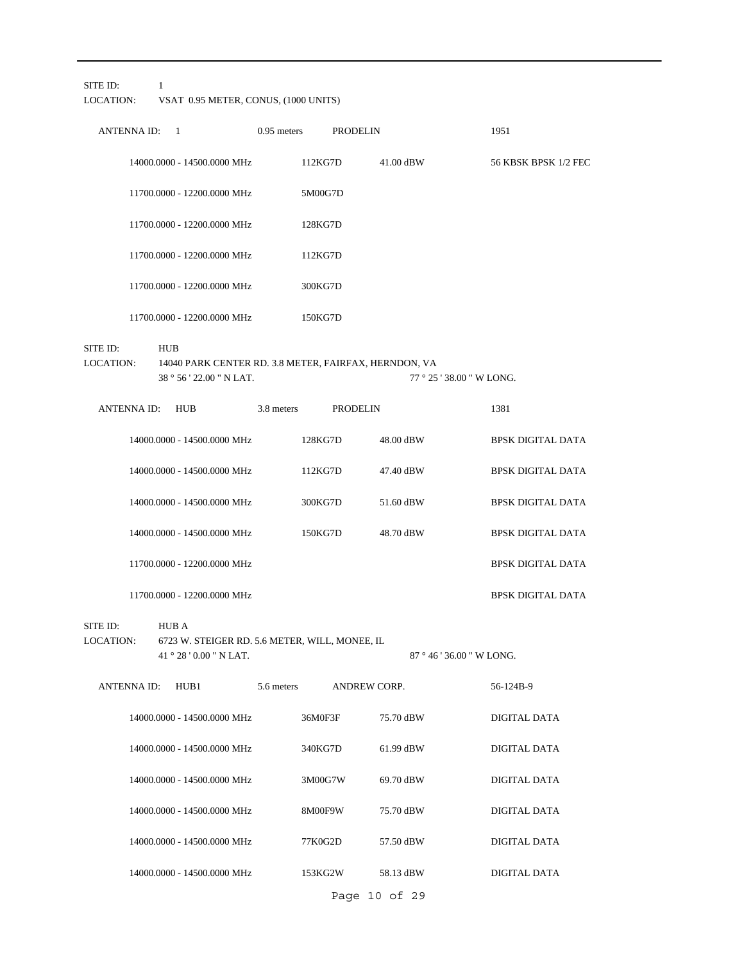SITE ID: 1

LOCATION: VSAT 0.95 METER, CONUS, (1000 UNITS)

|          | <b>ANTENNA ID:</b> | 1                           | $0.95$ meters |         | <b>PRODELIN</b> | 1951 |                      |
|----------|--------------------|-----------------------------|---------------|---------|-----------------|------|----------------------|
|          |                    | 14000.0000 - 14500.0000 MHz |               | 112KG7D | 41.00 dBW       |      | 56 KBSK BPSK 1/2 FEC |
|          |                    | 11700.0000 - 12200.0000 MHz |               | 5M00G7D |                 |      |                      |
|          |                    | 11700.0000 - 12200.0000 MHz |               | 128KG7D |                 |      |                      |
|          |                    | 11700.0000 - 12200.0000 MHz |               | 112KG7D |                 |      |                      |
|          |                    | 11700.0000 - 12200.0000 MHz |               | 300KG7D |                 |      |                      |
|          |                    | 11700.0000 - 12200.0000 MHz |               | 150KG7D |                 |      |                      |
| SITE ID: |                    | <b>HUB</b>                  |               |         |                 |      |                      |

38 ° 56 ' 22.00 " N LAT. 14040 PARK CENTER RD. 3.8 METER, FAIRFAX, HERNDON, VA LOCATION: 77 ° 25 ' 38.00 " W LONG.

| <b>ANTENNAID:</b> | <b>HUB</b>                  | 3.8 meters | <b>PRODELIN</b> |           | 1381                     |
|-------------------|-----------------------------|------------|-----------------|-----------|--------------------------|
|                   | 14000,0000 - 14500,0000 MHz | 128KG7D    |                 | 48.00 dBW | <b>BPSK DIGITAL DATA</b> |
|                   | 14000.0000 - 14500.0000 MHz | 112KG7D    |                 | 47.40 dBW | <b>BPSK DIGITAL DATA</b> |
|                   | 14000.0000 - 14500.0000 MHz | 300KG7D    |                 | 51.60 dBW | <b>BPSK DIGITAL DATA</b> |
|                   | 14000.0000 - 14500.0000 MHz | 150KG7D    |                 | 48.70 dBW | <b>BPSK DIGITAL DATA</b> |
|                   | 11700.0000 - 12200.0000 MHz |            |                 |           | <b>BPSK DIGITAL DATA</b> |
|                   | 11700.0000 - 12200.0000 MHz |            |                 |           | <b>BPSK DIGITAL DATA</b> |

SITE ID: HUB A

41 ° 28 ' 0.00 " N LAT. 6723 W. STEIGER RD. 5.6 METER, WILL, MONEE, IL LOCATION:

87 ° 46 ' 36.00 " W LONG.

| <b>ANTENNA ID:</b> | HUB1                        | 5.6 meters | <b>ANDREW CORP.</b> |           | 56-124B-9    |
|--------------------|-----------------------------|------------|---------------------|-----------|--------------|
|                    | 14000.0000 - 14500.0000 MHz |            | 36M0F3F             | 75.70 dBW | DIGITAL DATA |
|                    | 14000.0000 - 14500.0000 MHz |            | 340KG7D             | 61.99 dBW | DIGITAL DATA |
|                    | 14000.0000 - 14500.0000 MHz |            | 3M00G7W             | 69.70 dBW | DIGITAL DATA |
|                    | 14000.0000 - 14500.0000 MHz |            | 8M00F9W             | 75.70 dBW | DIGITAL DATA |
|                    | 14000.0000 - 14500.0000 MHz |            | 77K0G2D             | 57.50 dBW | DIGITAL DATA |
|                    | 14000.0000 - 14500.0000 MHz |            | 153KG2W             | 58.13 dBW | DIGITAL DATA |
|                    |                             |            | Page 10 of 29       |           |              |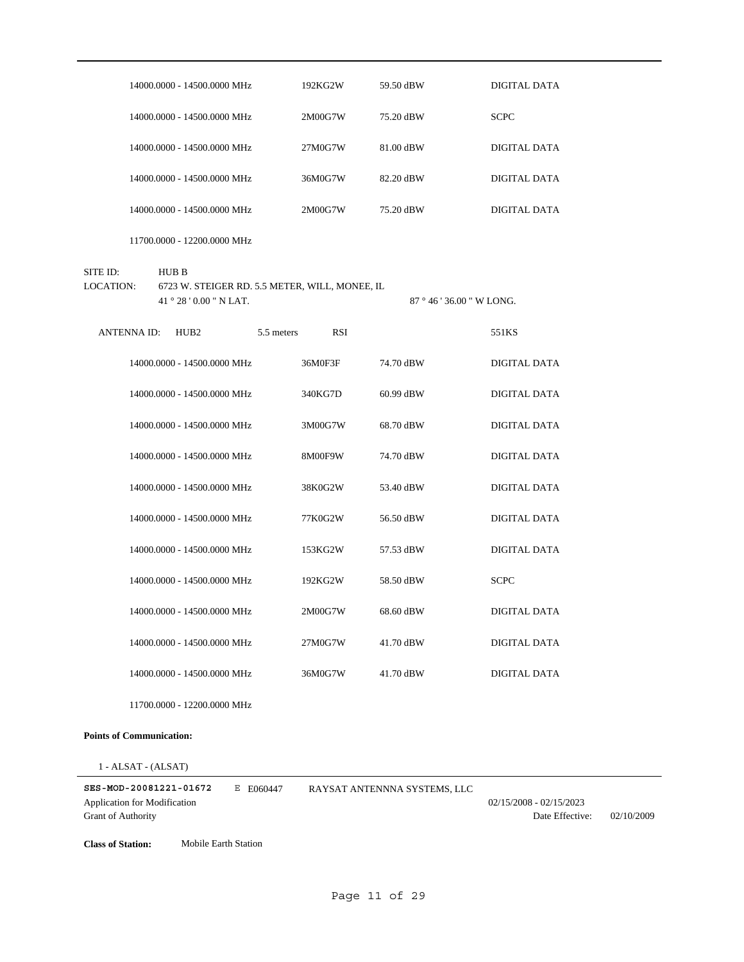|                       |       | 14000.0000 - 14500.0000 MHz                                                      |            | 192KG2W    | 59.50 dBW               | DIGITAL DATA        |
|-----------------------|-------|----------------------------------------------------------------------------------|------------|------------|-------------------------|---------------------|
|                       |       | 14000.0000 - 14500.0000 MHz                                                      |            | 2M00G7W    | 75.20 dBW               | <b>SCPC</b>         |
|                       |       | 14000.0000 - 14500.0000 MHz                                                      |            | 27M0G7W    | 81.00 dBW               | <b>DIGITAL DATA</b> |
|                       |       | 14000.0000 - 14500.0000 MHz                                                      |            | 36M0G7W    | 82.20 dBW               | DIGITAL DATA        |
|                       |       | 14000.0000 - 14500.0000 MHz                                                      |            | 2M00G7W    | 75.20 dBW               | DIGITAL DATA        |
|                       |       | 11700.0000 - 12200.0000 MHz                                                      |            |            |                         |                     |
| SITE ID:<br>LOCATION: | HUB B | 6723 W. STEIGER RD. 5.5 METER, WILL, MONEE, IL<br>$41^{\circ} 28' 0.00''$ N LAT. |            |            | $87°46'36.00''$ W LONG. |                     |
| <b>ANTENNA ID:</b>    |       | HUB <sub>2</sub>                                                                 | 5.5 meters | <b>RSI</b> |                         | 551KS               |
|                       |       | 14000.0000 - 14500.0000 MHz                                                      |            | 36M0F3F    | 74.70 dBW               | DIGITAL DATA        |
|                       |       | 14000.0000 - 14500.0000 MHz                                                      |            | 340KG7D    | 60.99 dBW               | DIGITAL DATA        |
|                       |       | 14000.0000 - 14500.0000 MHz                                                      |            | 3M00G7W    | 68.70 dBW               | DIGITAL DATA        |
|                       |       | 14000.0000 - 14500.0000 MHz                                                      |            | 8M00F9W    | 74.70 dBW               | DIGITAL DATA        |
|                       |       | 14000.0000 - 14500.0000 MHz                                                      |            | 38K0G2W    | 53.40 dBW               | DIGITAL DATA        |
|                       |       | 14000.0000 - 14500.0000 MHz                                                      |            | 77K0G2W    | 56.50 dBW               | DIGITAL DATA        |
|                       |       | 14000.0000 - 14500.0000 MHz                                                      |            | 153KG2W    | 57.53 dBW               | <b>DIGITAL DATA</b> |
|                       |       | 14000.0000 - 14500.0000 MHz                                                      |            | 192KG2W    | 58.50 dBW               | <b>SCPC</b>         |
|                       |       | 14000.0000 - 14500.0000 MHz                                                      |            | 2M00G7W    | 68.60 dBW               | DIGITAL DATA        |
|                       |       | 14000.0000 - 14500.0000 MHz                                                      |            | 27M0G7W    | 41.70 dBW               | DIGITAL DATA        |
|                       |       | 14000.0000 - 14500.0000 MHz                                                      |            | 36M0G7W    | 41.70 dBW               | DIGITAL DATA        |
|                       |       | 11700.0000 - 12200.0000 MHz                                                      |            |            |                         |                     |

1 - ALSAT - (ALSAT)

| SES-MOD-20081221-01672       | E F060447 | RAYSAT ANTENNNA SYSTEMS. LLC |                         |            |
|------------------------------|-----------|------------------------------|-------------------------|------------|
| Application for Modification |           |                              | 02/15/2008 - 02/15/2023 |            |
| <b>Grant of Authority</b>    |           |                              | Date Effective:         | 02/10/2009 |

**Class of Station:** Mobile Earth Station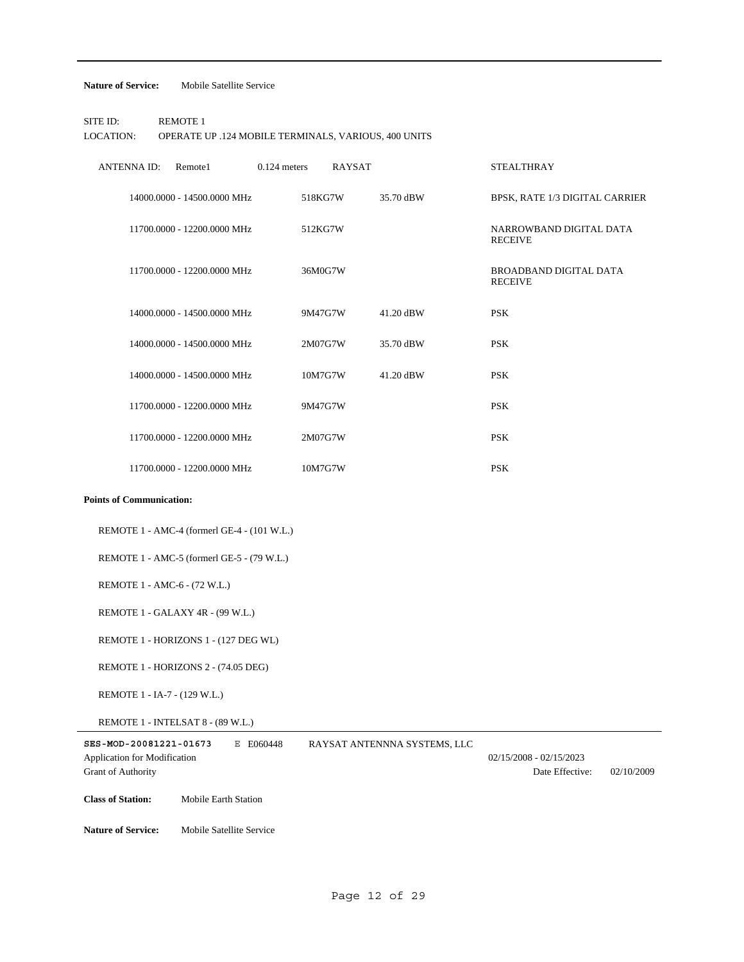#### **Nature of Service:** Mobile Satellite Service

SITE ID: REMOTE 1 LOCATION: OPERATE UP .124 MOBILE TERMINALS, VARIOUS, 400 UNITS

| <b>ANTENNA ID:</b>              | Remote1                     | $0.124$ meters | <b>RAYSAT</b> |           | <b>STEALTHRAY</b>                               |
|---------------------------------|-----------------------------|----------------|---------------|-----------|-------------------------------------------------|
|                                 | 14000.0000 - 14500.0000 MHz |                | 518KG7W       | 35.70 dBW | BPSK, RATE 1/3 DIGITAL CARRIER                  |
|                                 | 11700.0000 - 12200.0000 MHz |                | 512KG7W       |           | NARROWBAND DIGITAL DATA<br><b>RECEIVE</b>       |
|                                 | 11700.0000 - 12200.0000 MHz |                | 36M0G7W       |           | <b>BROADBAND DIGITAL DATA</b><br><b>RECEIVE</b> |
|                                 | 14000.0000 - 14500.0000 MHz |                | 9M47G7W       | 41.20 dBW | <b>PSK</b>                                      |
|                                 | 14000.0000 - 14500.0000 MHz |                | 2M07G7W       | 35.70 dBW | <b>PSK</b>                                      |
|                                 | 14000.0000 - 14500.0000 MHz |                | 10M7G7W       | 41.20 dBW | <b>PSK</b>                                      |
|                                 | 11700.0000 - 12200.0000 MHz |                | 9M47G7W       |           | <b>PSK</b>                                      |
|                                 | 11700.0000 - 12200.0000 MHz |                | 2M07G7W       |           | <b>PSK</b>                                      |
|                                 | 11700.0000 - 12200.0000 MHz |                | 10M7G7W       |           | <b>PSK</b>                                      |
| <b>Points of Communication:</b> |                             |                |               |           |                                                 |
|                                 |                             |                |               |           |                                                 |

REMOTE 1 - AMC-4 (formerl GE-4 - (101 W.L.)

REMOTE 1 - AMC-5 (formerl GE-5 - (79 W.L.)

REMOTE 1 - AMC-6 - (72 W.L.)

REMOTE 1 - GALAXY 4R - (99 W.L.)

REMOTE 1 - HORIZONS 1 - (127 DEG WL)

REMOTE 1 - HORIZONS 2 - (74.05 DEG)

REMOTE 1 - IA-7 - (129 W.L.)

REMOTE 1 - INTELSAT 8 - (89 W.L.)

| SES-MOD-20081221-01673              |                             | E E060448 | RAYSAT ANTENNNA SYSTEMS, LLC |                           |            |
|-------------------------------------|-----------------------------|-----------|------------------------------|---------------------------|------------|
| <b>Application for Modification</b> |                             |           |                              | $02/15/2008 - 02/15/2023$ |            |
| <b>Grant of Authority</b>           |                             |           |                              | Date Effective:           | 02/10/2009 |
|                                     |                             |           |                              |                           |            |
| <b>Class of Station:</b>            | <b>Mobile Earth Station</b> |           |                              |                           |            |
|                                     |                             |           |                              |                           |            |
| <b>Nature of Service:</b>           | Mobile Satellite Service    |           |                              |                           |            |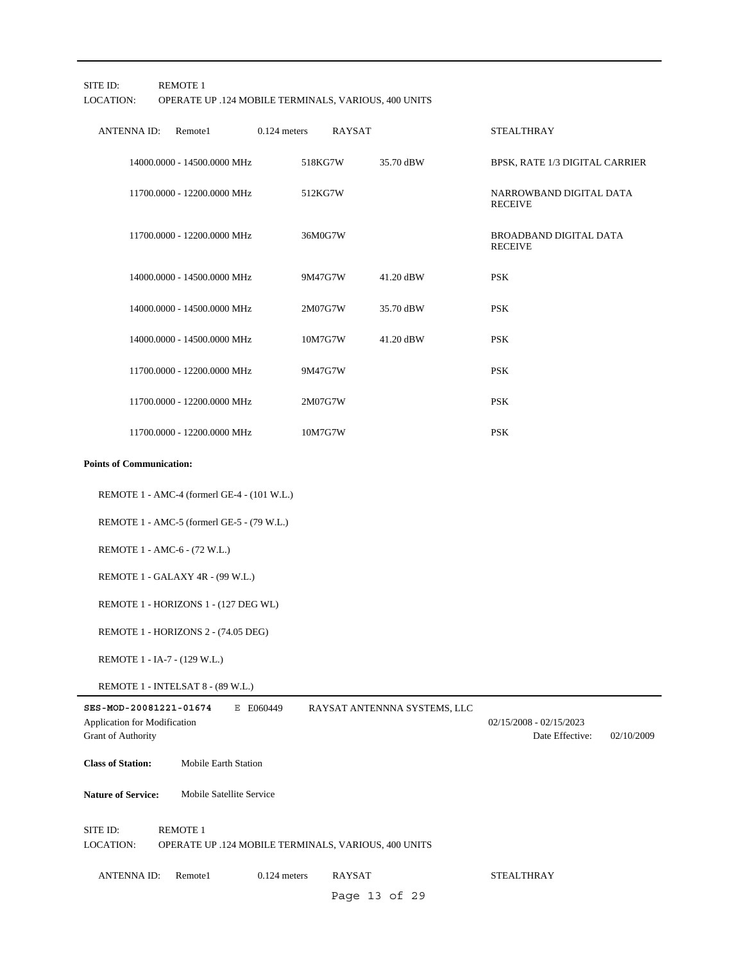SITE ID: REMOTE 1

# LOCATION: OPERATE UP .124 MOBILE TERMINALS, VARIOUS, 400 UNITS

| ANTENNA ID:<br>Remote1          | $0.124$ meters | <b>RAYSAT</b> |           | <b>STEALTHRAY</b>                         |
|---------------------------------|----------------|---------------|-----------|-------------------------------------------|
| 14000.0000 - 14500.0000 MHz     |                | 518KG7W       | 35.70 dBW | BPSK, RATE 1/3 DIGITAL CARRIER            |
| 11700.0000 - 12200.0000 MHz     |                | 512KG7W       |           | NARROWBAND DIGITAL DATA<br><b>RECEIVE</b> |
| 11700.0000 - 12200.0000 MHz     |                | 36M0G7W       |           | BROADBAND DIGITAL DATA<br><b>RECEIVE</b>  |
| 14000.0000 - 14500.0000 MHz     |                | 9M47G7W       | 41.20 dBW | <b>PSK</b>                                |
| 14000.0000 - 14500.0000 MHz     |                | 2M07G7W       | 35.70 dBW | <b>PSK</b>                                |
| 14000.0000 - 14500.0000 MHz     |                | 10M7G7W       | 41.20 dBW | <b>PSK</b>                                |
| 11700.0000 - 12200.0000 MHz     |                | 9M47G7W       |           | <b>PSK</b>                                |
| 11700.0000 - 12200.0000 MHz     |                | 2M07G7W       |           | <b>PSK</b>                                |
| 11700.0000 - 12200.0000 MHz     |                | 10M7G7W       |           | <b>PSK</b>                                |
| <b>Points of Communication:</b> |                |               |           |                                           |

REMOTE 1 - AMC-4 (formerl GE-4 - (101 W.L.)

REMOTE 1 - AMC-5 (formerl GE-5 - (79 W.L.)

REMOTE 1 - AMC-6 - (72 W.L.)

REMOTE 1 - GALAXY 4R - (99 W.L.)

REMOTE 1 - HORIZONS 1 - (127 DEG WL)

REMOTE 1 - HORIZONS 2 - (74.05 DEG)

REMOTE 1 - IA-7 - (129 W.L.)

REMOTE 1 - INTELSAT 8 - (89 W.L.)

| SES-MOD-20081221-01674<br><b>Application for Modification</b><br><b>Grant of Authority</b> | Е                        | E060449        | RAYSAT ANTENNNA SYSTEMS, LLC                         | $02/15/2008 - 02/15/2023$<br>Date Effective: | 02/10/2009 |
|--------------------------------------------------------------------------------------------|--------------------------|----------------|------------------------------------------------------|----------------------------------------------|------------|
| <b>Class of Station:</b>                                                                   | Mobile Earth Station     |                |                                                      |                                              |            |
| <b>Nature of Service:</b>                                                                  | Mobile Satellite Service |                |                                                      |                                              |            |
| SITE ID:<br>LOCATION:                                                                      | <b>REMOTE 1</b>          |                | OPERATE UP .124 MOBILE TERMINALS, VARIOUS, 400 UNITS |                                              |            |
| <b>ANTENNA ID:</b>                                                                         | Remote1                  | $0.124$ meters | <b>RAYSAT</b>                                        | <b>STEALTHRAY</b>                            |            |

Page 13 of 29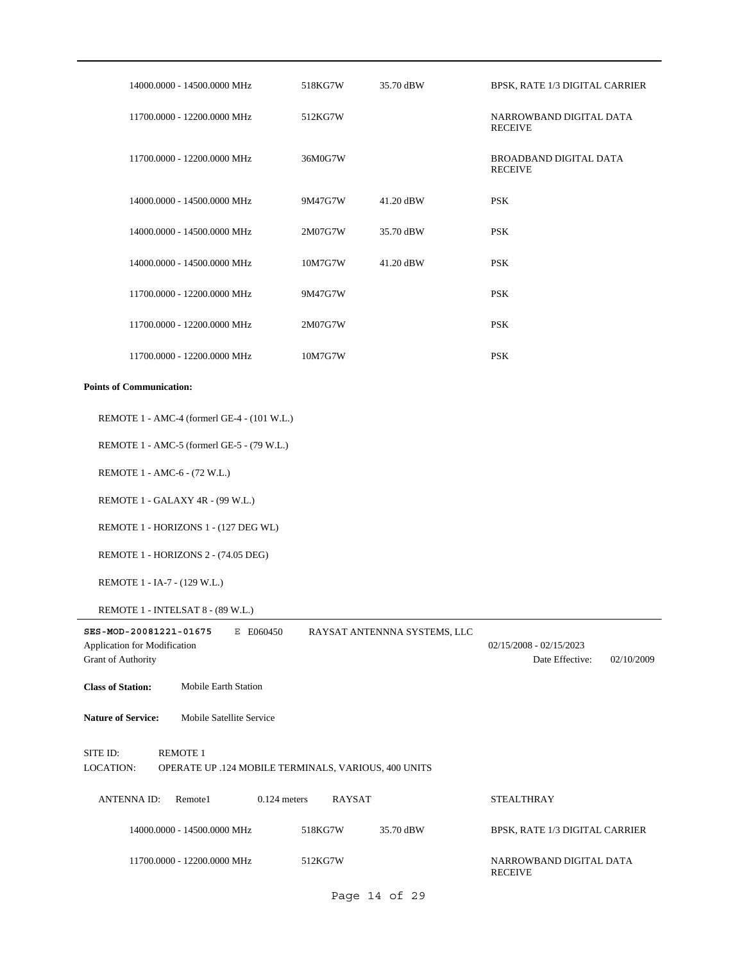| 14000.0000 - 14500.0000 MHz                                                                      | 518KG7W | 35.70 dBW                    | BPSK, RATE 1/3 DIGITAL CARRIER                             |
|--------------------------------------------------------------------------------------------------|---------|------------------------------|------------------------------------------------------------|
| 11700.0000 - 12200.0000 MHz                                                                      | 512KG7W |                              | NARROWBAND DIGITAL DATA<br><b>RECEIVE</b>                  |
| 11700.0000 - 12200.0000 MHz                                                                      | 36M0G7W |                              | BROADBAND DIGITAL DATA<br><b>RECEIVE</b>                   |
| 14000.0000 - 14500.0000 MHz                                                                      | 9M47G7W | 41.20 dBW                    | <b>PSK</b>                                                 |
| 14000.0000 - 14500.0000 MHz                                                                      | 2M07G7W | 35.70 dBW                    | <b>PSK</b>                                                 |
| 14000.0000 - 14500.0000 MHz                                                                      | 10M7G7W | 41.20 dBW                    | <b>PSK</b>                                                 |
| 11700.0000 - 12200.0000 MHz                                                                      | 9M47G7W |                              | <b>PSK</b>                                                 |
| 11700.0000 - 12200.0000 MHz                                                                      | 2M07G7W |                              | <b>PSK</b>                                                 |
| 11700.0000 - 12200.0000 MHz                                                                      | 10M7G7W |                              | <b>PSK</b>                                                 |
| <b>Points of Communication:</b>                                                                  |         |                              |                                                            |
| REMOTE 1 - AMC-4 (formerl GE-4 - (101 W.L.)                                                      |         |                              |                                                            |
| REMOTE 1 - AMC-5 (formerl GE-5 - (79 W.L.)                                                       |         |                              |                                                            |
| REMOTE 1 - AMC-6 - (72 W.L.)                                                                     |         |                              |                                                            |
| REMOTE 1 - GALAXY 4R - (99 W.L.)                                                                 |         |                              |                                                            |
| REMOTE 1 - HORIZONS 1 - (127 DEG WL)                                                             |         |                              |                                                            |
| REMOTE 1 - HORIZONS 2 - (74.05 DEG)                                                              |         |                              |                                                            |
| REMOTE 1 - IA-7 - (129 W.L.)                                                                     |         |                              |                                                            |
| REMOTE 1 - INTELSAT 8 - (89 W.L.)                                                                |         |                              |                                                            |
| SES-MOD-20081221-01675<br>E E060450<br>Application for Modification<br><b>Grant of Authority</b> |         | RAYSAT ANTENNNA SYSTEMS, LLC | $02/15/2008 - 02/15/2023$<br>Date Effective:<br>02/10/2009 |
| <b>Class of Station:</b><br>Mobile Earth Station                                                 |         |                              |                                                            |
| Mobile Satellite Service<br><b>Nature of Service:</b>                                            |         |                              |                                                            |
| SITE ID:<br><b>REMOTE 1</b><br>LOCATION:<br>OPERATE UP .124 MOBILE TERMINALS, VARIOUS, 400 UNITS |         |                              |                                                            |
| <b>ANTENNA ID:</b><br>Remote1<br>$0.124$ meters                                                  | RAYSAT  |                              | <b>STEALTHRAY</b>                                          |
| 14000.0000 - 14500.0000 MHz                                                                      | 518KG7W | 35.70 dBW                    | BPSK, RATE 1/3 DIGITAL CARRIER                             |
| 11700.0000 - 12200.0000 MHz                                                                      | 512KG7W |                              | NARROWBAND DIGITAL DATA<br><b>RECEIVE</b>                  |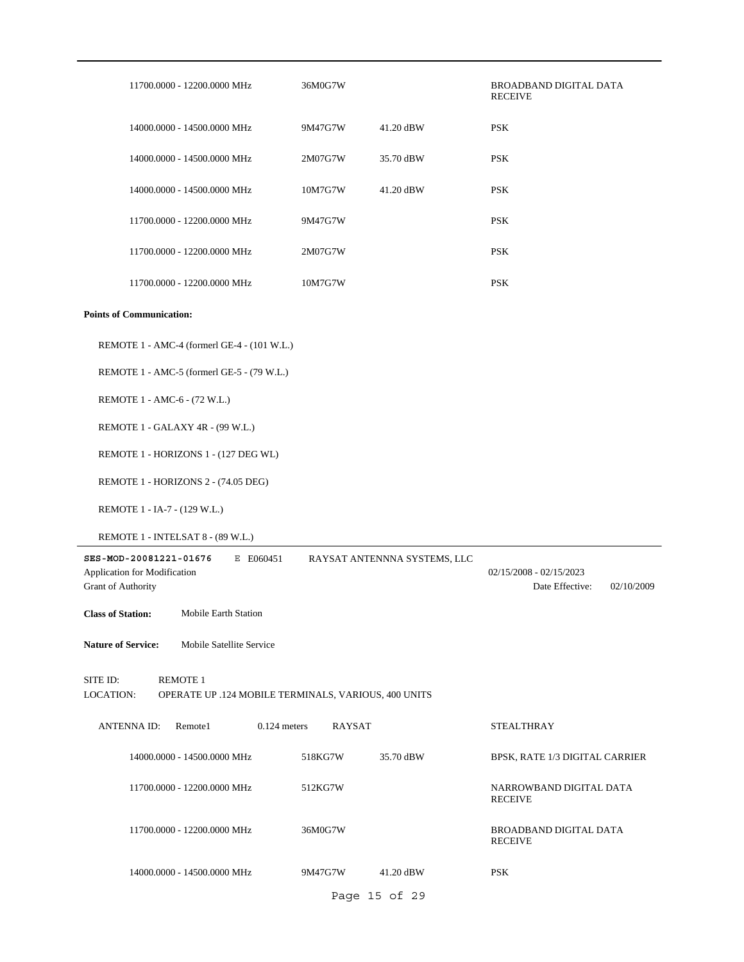| 11700.0000 - 12200.0000 MHz                                                                      | 36M0G7W |                              | <b>BROADBAND DIGITAL DATA</b><br><b>RECEIVE</b>            |
|--------------------------------------------------------------------------------------------------|---------|------------------------------|------------------------------------------------------------|
| 14000.0000 - 14500.0000 MHz                                                                      | 9M47G7W | 41.20 dBW                    | <b>PSK</b>                                                 |
| 14000.0000 - 14500.0000 MHz                                                                      | 2M07G7W | 35.70 dBW                    | <b>PSK</b>                                                 |
| 14000.0000 - 14500.0000 MHz                                                                      | 10M7G7W | 41.20 dBW                    | <b>PSK</b>                                                 |
| 11700.0000 - 12200.0000 MHz                                                                      | 9M47G7W |                              | <b>PSK</b>                                                 |
| 11700.0000 - 12200.0000 MHz                                                                      | 2M07G7W |                              | <b>PSK</b>                                                 |
| 11700.0000 - 12200.0000 MHz                                                                      | 10M7G7W |                              | <b>PSK</b>                                                 |
| <b>Points of Communication:</b>                                                                  |         |                              |                                                            |
| REMOTE 1 - AMC-4 (formerl GE-4 - (101 W.L.)                                                      |         |                              |                                                            |
| REMOTE 1 - AMC-5 (formerl GE-5 - (79 W.L.)                                                       |         |                              |                                                            |
| REMOTE 1 - AMC-6 - (72 W.L.)                                                                     |         |                              |                                                            |
| REMOTE 1 - GALAXY 4R - (99 W.L.)                                                                 |         |                              |                                                            |
| REMOTE 1 - HORIZONS 1 - (127 DEG WL)                                                             |         |                              |                                                            |
| REMOTE 1 - HORIZONS 2 - (74.05 DEG)                                                              |         |                              |                                                            |
| REMOTE 1 - IA-7 - (129 W.L.)                                                                     |         |                              |                                                            |
| REMOTE 1 - INTELSAT 8 - (89 W.L.)                                                                |         |                              |                                                            |
| SES-MOD-20081221-01676<br>E E060451<br>Application for Modification<br>Grant of Authority        |         | RAYSAT ANTENNNA SYSTEMS, LLC | $02/15/2008 - 02/15/2023$<br>Date Effective:<br>02/10/2009 |
| <b>Class of Station:</b><br>Mobile Earth Station                                                 |         |                              |                                                            |
| <b>Nature of Service:</b><br>Mobile Satellite Service                                            |         |                              |                                                            |
| <b>REMOTE 1</b><br>SITE ID:<br>LOCATION:<br>OPERATE UP .124 MOBILE TERMINALS, VARIOUS, 400 UNITS |         |                              |                                                            |
| <b>ANTENNA ID:</b><br>Remote1<br>$0.124$ meters                                                  | RAYSAT  |                              | <b>STEALTHRAY</b>                                          |
| 14000.0000 - 14500.0000 MHz                                                                      | 518KG7W | 35.70 dBW                    | BPSK, RATE 1/3 DIGITAL CARRIER                             |
| 11700.0000 - 12200.0000 MHz                                                                      | 512KG7W |                              | NARROWBAND DIGITAL DATA<br><b>RECEIVE</b>                  |
| 11700.0000 - 12200.0000 MHz                                                                      | 36M0G7W |                              | BROADBAND DIGITAL DATA<br><b>RECEIVE</b>                   |
| 14000.0000 - 14500.0000 MHz                                                                      | 9M47G7W | 41.20 dBW                    | <b>PSK</b>                                                 |
|                                                                                                  |         | Page 15 of 29                |                                                            |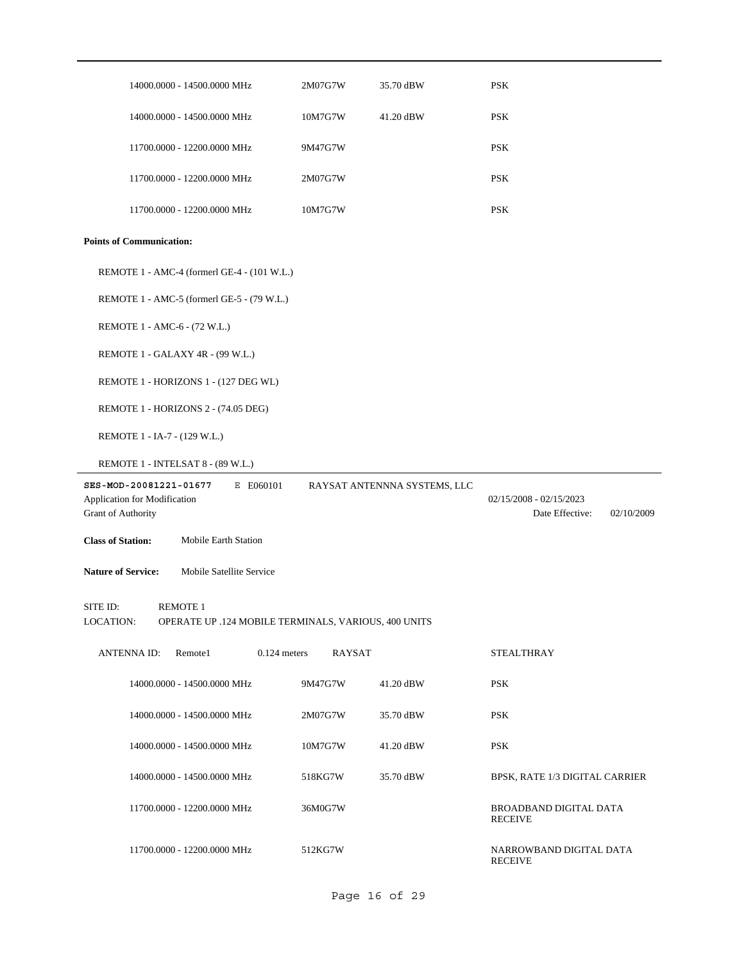| 14000.0000 - 14500.0000 MHz                                                  | 2M07G7W                                              | 35.70 dBW                    | <b>PSK</b>                                                 |
|------------------------------------------------------------------------------|------------------------------------------------------|------------------------------|------------------------------------------------------------|
| 14000.0000 - 14500.0000 MHz                                                  | 10M7G7W                                              | 41.20 dBW                    | <b>PSK</b>                                                 |
| 11700.0000 - 12200.0000 MHz                                                  | 9M47G7W                                              |                              | <b>PSK</b>                                                 |
| 11700.0000 - 12200.0000 MHz                                                  | 2M07G7W                                              |                              | <b>PSK</b>                                                 |
| 11700.0000 - 12200.0000 MHz                                                  | 10M7G7W                                              |                              | <b>PSK</b>                                                 |
| <b>Points of Communication:</b>                                              |                                                      |                              |                                                            |
| REMOTE 1 - AMC-4 (formerl GE-4 - (101 W.L.)                                  |                                                      |                              |                                                            |
| REMOTE 1 - AMC-5 (formerl GE-5 - (79 W.L.)                                   |                                                      |                              |                                                            |
| REMOTE 1 - AMC-6 - (72 W.L.)                                                 |                                                      |                              |                                                            |
| REMOTE 1 - GALAXY 4R - (99 W.L.)                                             |                                                      |                              |                                                            |
| REMOTE 1 - HORIZONS 1 - (127 DEG WL)                                         |                                                      |                              |                                                            |
| REMOTE 1 - HORIZONS 2 - (74.05 DEG)                                          |                                                      |                              |                                                            |
| REMOTE 1 - IA-7 - (129 W.L.)                                                 |                                                      |                              |                                                            |
| REMOTE 1 - INTELSAT 8 - (89 W.L.)                                            |                                                      |                              |                                                            |
| SES-MOD-20081221-01677<br>Application for Modification<br>Grant of Authority | E E060101                                            | RAYSAT ANTENNNA SYSTEMS, LLC | $02/15/2008 - 02/15/2023$<br>Date Effective:<br>02/10/2009 |
| <b>Class of Station:</b><br><b>Mobile Earth Station</b>                      |                                                      |                              |                                                            |
| <b>Nature of Service:</b><br>Mobile Satellite Service                        |                                                      |                              |                                                            |
| SITE ID:<br><b>REMOTE 1</b><br>LOCATION:                                     | OPERATE UP .124 MOBILE TERMINALS, VARIOUS, 400 UNITS |                              |                                                            |
| Remote1<br><b>ANTENNA ID:</b>                                                | $0.124$ meters<br><b>RAYSAT</b>                      |                              | <b>STEALTHRAY</b>                                          |
| 14000.0000 - 14500.0000 MHz                                                  | 9M47G7W                                              | 41.20 dBW                    | $\mathop{\mathrm{PSK}}$                                    |
| 14000.0000 - 14500.0000 MHz                                                  | 2M07G7W                                              | 35.70 dBW                    | <b>PSK</b>                                                 |
| 14000.0000 - 14500.0000 MHz                                                  | 10M7G7W                                              | 41.20 dBW                    | <b>PSK</b>                                                 |
| 14000.0000 - 14500.0000 MHz                                                  | 518KG7W                                              | 35.70 dBW                    | BPSK, RATE 1/3 DIGITAL CARRIER                             |
| 11700.0000 - 12200.0000 MHz                                                  | 36M0G7W                                              |                              | BROADBAND DIGITAL DATA<br><b>RECEIVE</b>                   |
| 11700.0000 - 12200.0000 MHz                                                  | 512KG7W                                              |                              | NARROWBAND DIGITAL DATA<br><b>RECEIVE</b>                  |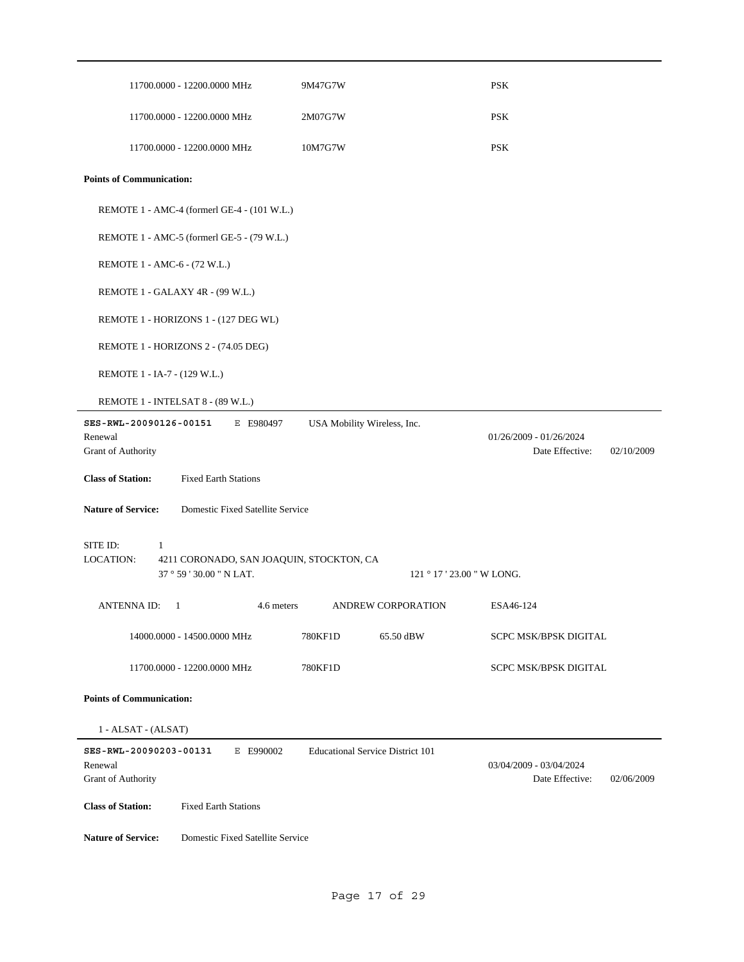| 11700.0000 - 12200.0000 MHz                                                                        | 9M47G7W                                 | <b>PSK</b>                                                 |
|----------------------------------------------------------------------------------------------------|-----------------------------------------|------------------------------------------------------------|
| 11700.0000 - 12200.0000 MHz                                                                        | 2M07G7W                                 | <b>PSK</b>                                                 |
| 11700.0000 - 12200.0000 MHz                                                                        | 10M7G7W                                 | <b>PSK</b>                                                 |
| <b>Points of Communication:</b>                                                                    |                                         |                                                            |
| REMOTE 1 - AMC-4 (formerl GE-4 - (101 W.L.)                                                        |                                         |                                                            |
| REMOTE 1 - AMC-5 (formerl GE-5 - (79 W.L.)                                                         |                                         |                                                            |
| REMOTE 1 - AMC-6 - (72 W.L.)                                                                       |                                         |                                                            |
| REMOTE 1 - GALAXY 4R - (99 W.L.)                                                                   |                                         |                                                            |
| REMOTE 1 - HORIZONS 1 - (127 DEG WL)                                                               |                                         |                                                            |
| REMOTE 1 - HORIZONS 2 - (74.05 DEG)                                                                |                                         |                                                            |
| REMOTE 1 - IA-7 - (129 W.L.)                                                                       |                                         |                                                            |
| REMOTE 1 - INTELSAT 8 - (89 W.L.)                                                                  |                                         |                                                            |
| SES-RWL-20090126-00151<br>E E980497<br>Renewal<br>Grant of Authority                               | USA Mobility Wireless, Inc.             | $01/26/2009 - 01/26/2024$<br>Date Effective:<br>02/10/2009 |
| <b>Class of Station:</b><br><b>Fixed Earth Stations</b>                                            |                                         |                                                            |
| <b>Nature of Service:</b><br>Domestic Fixed Satellite Service                                      |                                         |                                                            |
| SITE ID:<br>1<br>LOCATION:<br>4211 CORONADO, SAN JOAQUIN, STOCKTON, CA<br>37 ° 59 ' 30.00 " N LAT. |                                         | 121 ° 17 ' 23.00 " W LONG.                                 |
| <b>ANTENNA ID:</b><br>4.6 meters<br>-1                                                             | <b>ANDREW CORPORATION</b>               | ESA46-124                                                  |
| 14000.0000 - 14500.0000 MHz                                                                        | 780KF1D<br>65.50 dBW                    | <b>SCPC MSK/BPSK DIGITAL</b>                               |
| 11700.0000 - 12200.0000 MHz                                                                        | 780KF1D                                 | SCPC MSK/BPSK DIGITAL                                      |
| <b>Points of Communication:</b>                                                                    |                                         |                                                            |
| 1 - ALSAT - (ALSAT)                                                                                |                                         |                                                            |
| SES-RWL-20090203-00131<br>E E990002<br>Renewal<br>Grant of Authority                               | <b>Educational Service District 101</b> | 03/04/2009 - 03/04/2024<br>Date Effective:<br>02/06/2009   |
| <b>Class of Station:</b><br><b>Fixed Earth Stations</b>                                            |                                         |                                                            |
| <b>Nature of Service:</b><br>Domestic Fixed Satellite Service                                      |                                         |                                                            |
|                                                                                                    |                                         |                                                            |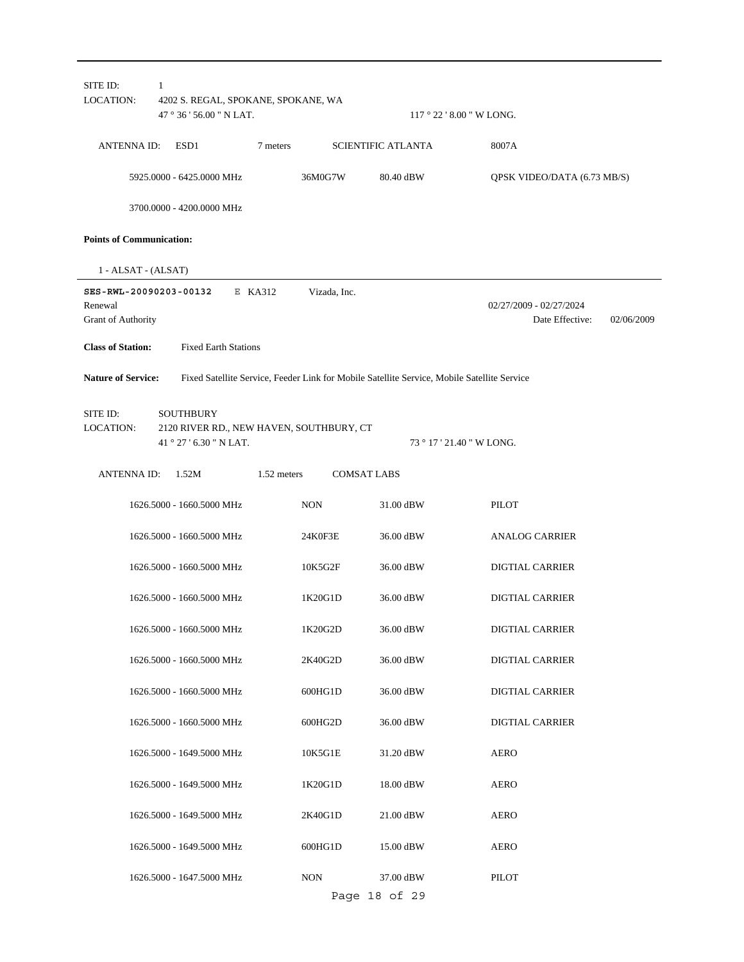|                                                         |                                                                                         | 47 $\degree$ 36 ' 56.00 " N LAT. |              |                                                                                             | $117°22'8.00''$ W LONG.                                  |
|---------------------------------------------------------|-----------------------------------------------------------------------------------------|----------------------------------|--------------|---------------------------------------------------------------------------------------------|----------------------------------------------------------|
| ANTENNA ID:                                             | ESD1                                                                                    | 7 meters                         |              | <b>SCIENTIFIC ATLANTA</b>                                                                   | 8007A                                                    |
|                                                         | 5925.0000 - 6425.0000 MHz                                                               |                                  | 36M0G7W      | 80.40 dBW                                                                                   | QPSK VIDEO/DATA (6.73 MB/S)                              |
|                                                         | 3700.0000 - 4200.0000 MHz                                                               |                                  |              |                                                                                             |                                                          |
| <b>Points of Communication:</b>                         |                                                                                         |                                  |              |                                                                                             |                                                          |
| 1 - ALSAT - (ALSAT)                                     |                                                                                         |                                  |              |                                                                                             |                                                          |
| SES-RWL-20090203-00132<br>Renewal<br>Grant of Authority |                                                                                         | E KA312                          | Vizada, Inc. |                                                                                             | 02/27/2009 - 02/27/2024<br>Date Effective:<br>02/06/2009 |
| <b>Class of Station:</b>                                | <b>Fixed Earth Stations</b>                                                             |                                  |              |                                                                                             |                                                          |
| <b>Nature of Service:</b>                               |                                                                                         |                                  |              | Fixed Satellite Service, Feeder Link for Mobile Satellite Service, Mobile Satellite Service |                                                          |
| SITE ID:<br>LOCATION:                                   | <b>SOUTHBURY</b><br>2120 RIVER RD., NEW HAVEN, SOUTHBURY, CT<br>41 ° 27 ' 6.30 " N LAT. |                                  |              |                                                                                             | 73 ° 17 ' 21.40 " W LONG.                                |
| ANTENNA ID:                                             | 1.52M                                                                                   | 1.52 meters                      |              | <b>COMSAT LABS</b>                                                                          |                                                          |
|                                                         | 1626.5000 - 1660.5000 MHz                                                               |                                  | <b>NON</b>   | 31.00 dBW                                                                                   | PILOT                                                    |
|                                                         | 1626.5000 - 1660.5000 MHz                                                               |                                  | 24K0F3E      | 36.00 dBW                                                                                   | <b>ANALOG CARRIER</b>                                    |
|                                                         | 1626.5000 - 1660.5000 MHz                                                               |                                  | 10K5G2F      | 36.00 dBW                                                                                   | <b>DIGTIAL CARRIER</b>                                   |
|                                                         | 1626.5000 - 1660.5000 MHz                                                               |                                  | 1K20G1D      | 36.00 dBW                                                                                   | <b>DIGTIAL CARRIER</b>                                   |
|                                                         | 1626.5000 - 1660.5000 MHz                                                               |                                  | 1K20G2D      | 36.00 dBW                                                                                   | DIGTIAL CARRIER                                          |
|                                                         | 1626.5000 - 1660.5000 MHz                                                               |                                  | 2K40G2D      | 36.00 dBW                                                                                   | DIGTIAL CARRIER                                          |
|                                                         | 1626.5000 - 1660.5000 MHz                                                               |                                  | 600HG1D      | 36.00 dBW                                                                                   | <b>DIGTIAL CARRIER</b>                                   |
|                                                         | 1626.5000 - 1660.5000 MHz                                                               |                                  | 600HG2D      | 36.00 dBW                                                                                   | <b>DIGTIAL CARRIER</b>                                   |
|                                                         | 1626.5000 - 1649.5000 MHz                                                               |                                  | 10K5G1E      | 31.20 dBW                                                                                   | <b>AERO</b>                                              |
|                                                         | 1626.5000 - 1649.5000 MHz                                                               |                                  | 1K20G1D      | 18.00 dBW                                                                                   | AERO                                                     |
|                                                         | 1626.5000 - 1649.5000 MHz                                                               |                                  | 2K40G1D      | 21.00 dBW                                                                                   | <b>AERO</b>                                              |
|                                                         | 1626.5000 - 1649.5000 MHz                                                               |                                  | 600HG1D      | 15.00 dBW                                                                                   | <b>AERO</b>                                              |
|                                                         | 1626.5000 - 1647.5000 MHz                                                               |                                  | <b>NON</b>   | 37.00 dBW<br>Page 18 of 29                                                                  | <b>PILOT</b>                                             |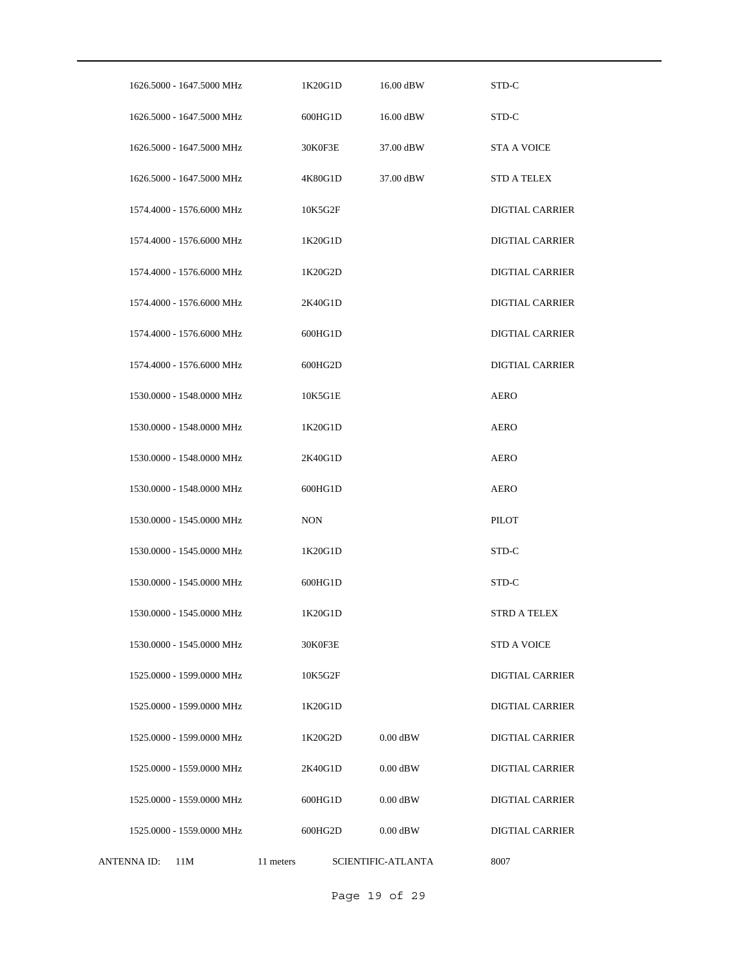|             | 1626.5000 - 1647.5000 MHz |           | 1K20G1D    | 16.00 dBW          | STD-C                  |
|-------------|---------------------------|-----------|------------|--------------------|------------------------|
|             | 1626.5000 - 1647.5000 MHz |           | 600HG1D    | 16.00 dBW          | STD-C                  |
|             | 1626.5000 - 1647.5000 MHz |           | 30K0F3E    | 37.00 dBW          | <b>STA A VOICE</b>     |
|             | 1626.5000 - 1647.5000 MHz |           | 4K80G1D    | 37.00 dBW          | <b>STD A TELEX</b>     |
|             | 1574.4000 - 1576.6000 MHz |           | 10K5G2F    |                    | <b>DIGTIAL CARRIER</b> |
|             | 1574.4000 - 1576.6000 MHz |           | 1K20G1D    |                    | <b>DIGTIAL CARRIER</b> |
|             | 1574.4000 - 1576.6000 MHz |           | 1K20G2D    |                    | <b>DIGTIAL CARRIER</b> |
|             | 1574.4000 - 1576.6000 MHz |           | 2K40G1D    |                    | <b>DIGTIAL CARRIER</b> |
|             | 1574.4000 - 1576.6000 MHz |           | 600HG1D    |                    | <b>DIGTIAL CARRIER</b> |
|             | 1574.4000 - 1576.6000 MHz |           | 600HG2D    |                    | <b>DIGTIAL CARRIER</b> |
|             | 1530.0000 - 1548.0000 MHz |           | 10K5G1E    |                    | <b>AERO</b>            |
|             | 1530.0000 - 1548.0000 MHz |           | 1K20G1D    |                    | <b>AERO</b>            |
|             | 1530.0000 - 1548.0000 MHz |           | 2K40G1D    |                    | <b>AERO</b>            |
|             | 1530.0000 - 1548.0000 MHz |           | 600HG1D    |                    | <b>AERO</b>            |
|             | 1530.0000 - 1545.0000 MHz |           | <b>NON</b> |                    | PILOT                  |
|             | 1530.0000 - 1545.0000 MHz |           | 1K20G1D    |                    | STD-C                  |
|             | 1530.0000 - 1545.0000 MHz |           | 600HG1D    |                    | STD-C                  |
|             | 1530.0000 - 1545.0000 MHz |           | 1K20G1D    |                    | STRD A TELEX           |
|             | 1530.0000 - 1545.0000 MHz |           | 30K0F3E    |                    | <b>STD A VOICE</b>     |
|             | 1525.0000 - 1599.0000 MHz |           | 10K5G2F    |                    | <b>DIGTIAL CARRIER</b> |
|             | 1525.0000 - 1599.0000 MHz |           | 1K20G1D    |                    | <b>DIGTIAL CARRIER</b> |
|             | 1525.0000 - 1599.0000 MHz |           | 1K20G2D    | $0.00$ dBW         | <b>DIGTIAL CARRIER</b> |
|             | 1525.0000 - 1559.0000 MHz |           | 2K40G1D    | $0.00$ dBW         | <b>DIGTIAL CARRIER</b> |
|             | 1525.0000 - 1559.0000 MHz |           | 600HG1D    | $0.00$ dBW         | <b>DIGTIAL CARRIER</b> |
|             | 1525.0000 - 1559.0000 MHz |           | 600HG2D    | $0.00$ dBW         | <b>DIGTIAL CARRIER</b> |
| ANTENNA ID: | 11M                       | 11 meters |            | SCIENTIFIC-ATLANTA | 8007                   |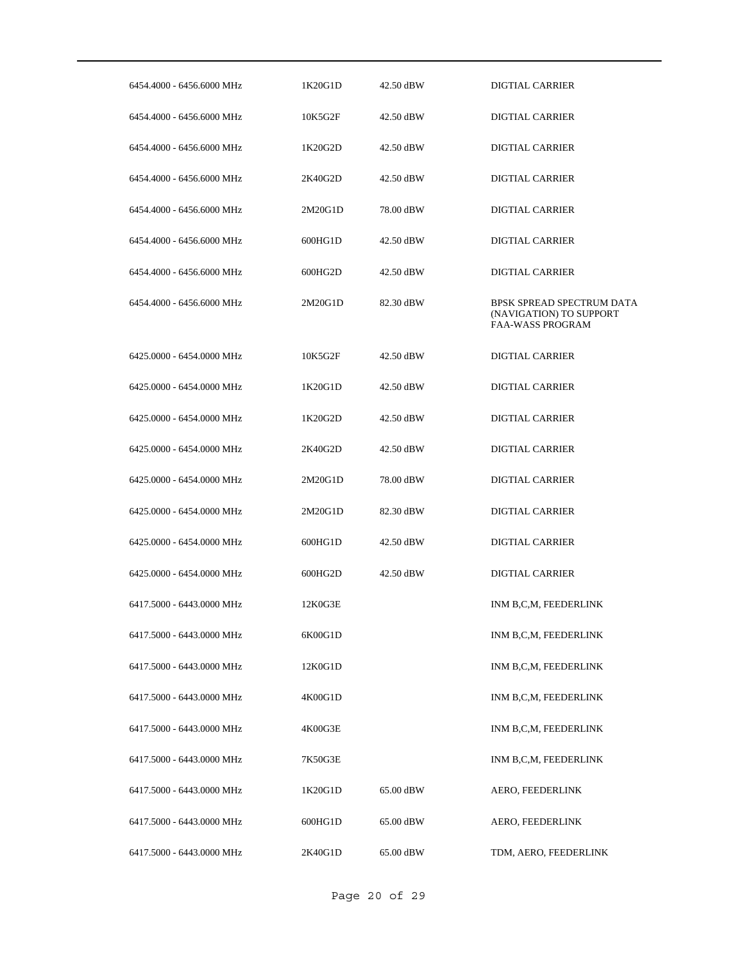| 6454.4000 - 6456.6000 MHz | 1K20G1D | 42.50 dBW | DIGTIAL CARRIER                                                                 |
|---------------------------|---------|-----------|---------------------------------------------------------------------------------|
| 6454.4000 - 6456.6000 MHz | 10K5G2F | 42.50 dBW | <b>DIGTIAL CARRIER</b>                                                          |
| 6454.4000 - 6456.6000 MHz | 1K20G2D | 42.50 dBW | DIGTIAL CARRIER                                                                 |
| 6454.4000 - 6456.6000 MHz | 2K40G2D | 42.50 dBW | DIGTIAL CARRIER                                                                 |
| 6454.4000 - 6456.6000 MHz | 2M20G1D | 78.00 dBW | DIGTIAL CARRIER                                                                 |
| 6454.4000 - 6456.6000 MHz | 600HG1D | 42.50 dBW | <b>DIGTIAL CARRIER</b>                                                          |
| 6454.4000 - 6456.6000 MHz | 600HG2D | 42.50 dBW | DIGTIAL CARRIER                                                                 |
| 6454.4000 - 6456.6000 MHz | 2M20G1D | 82.30 dBW | BPSK SPREAD SPECTRUM DATA<br>(NAVIGATION) TO SUPPORT<br><b>FAA-WASS PROGRAM</b> |
| 6425.0000 - 6454.0000 MHz | 10K5G2F | 42.50 dBW | <b>DIGTIAL CARRIER</b>                                                          |
| 6425,0000 - 6454,0000 MHz | 1K20G1D | 42.50 dBW | <b>DIGTIAL CARRIER</b>                                                          |
| 6425.0000 - 6454.0000 MHz | 1K20G2D | 42.50 dBW | <b>DIGTIAL CARRIER</b>                                                          |
| 6425.0000 - 6454.0000 MHz | 2K40G2D | 42.50 dBW | <b>DIGTIAL CARRIER</b>                                                          |
| 6425.0000 - 6454.0000 MHz | 2M20G1D | 78.00 dBW | <b>DIGTIAL CARRIER</b>                                                          |
| 6425.0000 - 6454.0000 MHz | 2M20G1D | 82.30 dBW | DIGTIAL CARRIER                                                                 |
| 6425.0000 - 6454.0000 MHz | 600HG1D | 42.50 dBW | <b>DIGTIAL CARRIER</b>                                                          |
| 6425,0000 - 6454,0000 MHz | 600HG2D | 42.50 dBW | <b>DIGTIAL CARRIER</b>                                                          |
| 6417.5000 - 6443.0000 MHz | 12K0G3E |           | INM B,C,M, FEEDERLINK                                                           |
| 6417.5000 - 6443.0000 MHz | 6K00G1D |           | INM B,C,M, FEEDERLINK                                                           |
| 6417.5000 - 6443.0000 MHz | 12K0G1D |           | INM B,C,M, FEEDERLINK                                                           |
| 6417.5000 - 6443.0000 MHz | 4K00G1D |           | INM B,C,M, FEEDERLINK                                                           |
| 6417.5000 - 6443.0000 MHz | 4K00G3E |           | INM B,C,M, FEEDERLINK                                                           |
| 6417.5000 - 6443.0000 MHz | 7K50G3E |           | INM B,C,M, FEEDERLINK                                                           |
| 6417.5000 - 6443.0000 MHz | 1K20G1D | 65.00 dBW | AERO, FEEDERLINK                                                                |
| 6417.5000 - 6443.0000 MHz | 600HG1D | 65.00 dBW | AERO, FEEDERLINK                                                                |
| 6417.5000 - 6443.0000 MHz | 2K40G1D | 65.00 dBW | TDM, AERO, FEEDERLINK                                                           |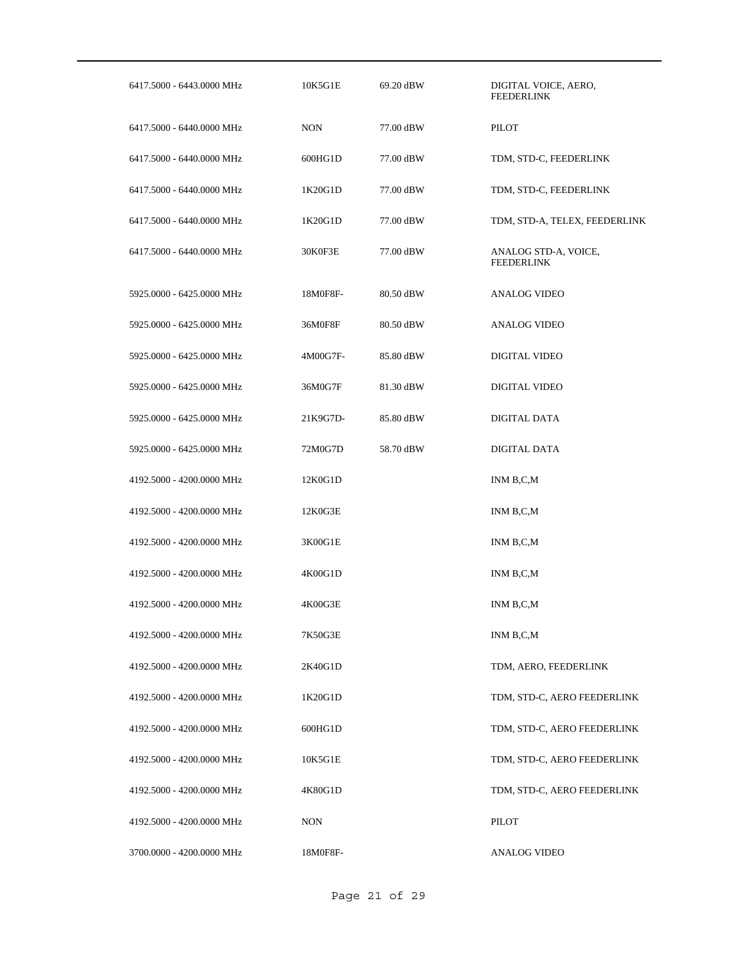| 6417.5000 - 6443.0000 MHz | 10K5G1E    | 69.20 dBW | DIGITAL VOICE, AERO,<br>FEEDERLINK        |
|---------------------------|------------|-----------|-------------------------------------------|
| 6417.5000 - 6440.0000 MHz | <b>NON</b> | 77.00 dBW | PILOT                                     |
| 6417.5000 - 6440.0000 MHz | 600HG1D    | 77.00 dBW | TDM, STD-C, FEEDERLINK                    |
| 6417.5000 - 6440.0000 MHz | 1K20G1D    | 77.00 dBW | TDM, STD-C, FEEDERLINK                    |
| 6417.5000 - 6440.0000 MHz | 1K20G1D    | 77.00 dBW | TDM, STD-A, TELEX, FEEDERLINK             |
| 6417.5000 - 6440.0000 MHz | 30K0F3E    | 77.00 dBW | ANALOG STD-A, VOICE,<br><b>FEEDERLINK</b> |
| 5925.0000 - 6425.0000 MHz | 18M0F8F-   | 80.50 dBW | <b>ANALOG VIDEO</b>                       |
| 5925.0000 - 6425.0000 MHz | 36M0F8F    | 80.50 dBW | ANALOG VIDEO                              |
| 5925.0000 - 6425.0000 MHz | 4M00G7F-   | 85.80 dBW | DIGITAL VIDEO                             |
| 5925.0000 - 6425.0000 MHz | 36M0G7F    | 81.30 dBW | DIGITAL VIDEO                             |
| 5925.0000 - 6425.0000 MHz | 21K9G7D-   | 85.80 dBW | DIGITAL DATA                              |
| 5925.0000 - 6425.0000 MHz | 72M0G7D    | 58.70 dBW | DIGITAL DATA                              |
| 4192.5000 - 4200.0000 MHz | 12K0G1D    |           | INM B,C,M                                 |
| 4192.5000 - 4200.0000 MHz | 12K0G3E    |           | INM B,C,M                                 |
| 4192.5000 - 4200.0000 MHz | 3K00G1E    |           | INM B,C,M                                 |
| 4192.5000 - 4200.0000 MHz | 4K00G1D    |           | INM B,C,M                                 |
| 4192.5000 - 4200.0000 MHz | 4K00G3E    |           | INM B,C,M                                 |
| 4192.5000 - 4200.0000 MHz | 7K50G3E    |           | INM B,C,M                                 |
| 4192.5000 - 4200.0000 MHz | 2K40G1D    |           | TDM, AERO, FEEDERLINK                     |
| 4192.5000 - 4200.0000 MHz | 1K20G1D    |           | TDM, STD-C, AERO FEEDERLINK               |
| 4192.5000 - 4200.0000 MHz | 600HG1D    |           | TDM, STD-C, AERO FEEDERLINK               |
| 4192.5000 - 4200.0000 MHz | 10K5G1E    |           | TDM, STD-C, AERO FEEDERLINK               |
| 4192.5000 - 4200.0000 MHz | 4K80G1D    |           | TDM, STD-C, AERO FEEDERLINK               |
| 4192.5000 - 4200.0000 MHz | <b>NON</b> |           | PILOT                                     |
| 3700.0000 - 4200.0000 MHz | 18M0F8F-   |           | <b>ANALOG VIDEO</b>                       |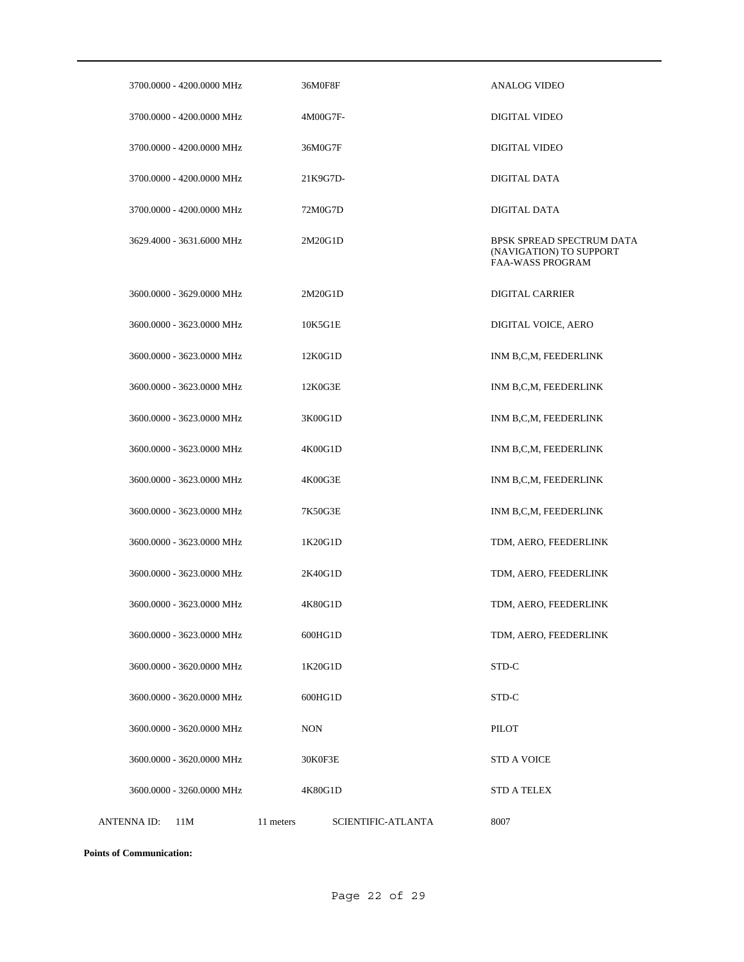| 3700.0000 - 4200.0000 MHz | 36M0F8F                                | ANALOG VIDEO                                                             |
|---------------------------|----------------------------------------|--------------------------------------------------------------------------|
| 3700.0000 - 4200.0000 MHz | 4M00G7F-                               | <b>DIGITAL VIDEO</b>                                                     |
| 3700.0000 - 4200.0000 MHz | 36M0G7F                                | <b>DIGITAL VIDEO</b>                                                     |
| 3700.0000 - 4200.0000 MHz | 21K9G7D-                               | DIGITAL DATA                                                             |
| 3700.0000 - 4200.0000 MHz | 72M0G7D                                | <b>DIGITAL DATA</b>                                                      |
| 3629.4000 - 3631.6000 MHz | 2M20G1D                                | BPSK SPREAD SPECTRUM DATA<br>(NAVIGATION) TO SUPPORT<br>FAA-WASS PROGRAM |
| 3600.0000 - 3629.0000 MHz | 2M20G1D                                | <b>DIGITAL CARRIER</b>                                                   |
| 3600.0000 - 3623.0000 MHz | 10K5G1E                                | DIGITAL VOICE, AERO                                                      |
| 3600.0000 - 3623.0000 MHz | 12K0G1D                                | INM B,C,M, FEEDERLINK                                                    |
| 3600.0000 - 3623.0000 MHz | 12K0G3E                                | INM B,C,M, FEEDERLINK                                                    |
| 3600.0000 - 3623.0000 MHz | 3K00G1D                                | INM B,C,M, FEEDERLINK                                                    |
| 3600.0000 - 3623.0000 MHz | 4K00G1D                                | INM B,C,M, FEEDERLINK                                                    |
| 3600.0000 - 3623.0000 MHz | 4K00G3E                                | INM B,C,M, FEEDERLINK                                                    |
| 3600.0000 - 3623.0000 MHz | 7K50G3E                                | INM B,C,M, FEEDERLINK                                                    |
| 3600.0000 - 3623.0000 MHz | 1K20G1D                                | TDM, AERO, FEEDERLINK                                                    |
| 3600.0000 - 3623.0000 MHz | 2K40G1D                                | TDM, AERO, FEEDERLINK                                                    |
| 3600.0000 - 3623.0000 MHz | 4K80G1D                                | TDM, AERO, FEEDERLINK                                                    |
| 3600.0000 - 3623.0000 MHz | 600HG1D                                | TDM, AERO, FEEDERLINK                                                    |
| 3600,0000 - 3620,0000 MHz | 1K20G1D                                | STD-C                                                                    |
| 3600.0000 - 3620.0000 MHz | 600HG1D                                | STD-C                                                                    |
| 3600.0000 - 3620.0000 MHz | <b>NON</b>                             | PILOT                                                                    |
| 3600.0000 - 3620.0000 MHz | 30K0F3E                                | <b>STD A VOICE</b>                                                       |
| 3600.0000 - 3260.0000 MHz | 4K80G1D                                | <b>STD A TELEX</b>                                                       |
| ANTENNA ID:<br>11M        | 11 meters<br><b>SCIENTIFIC-ATLANTA</b> | 8007                                                                     |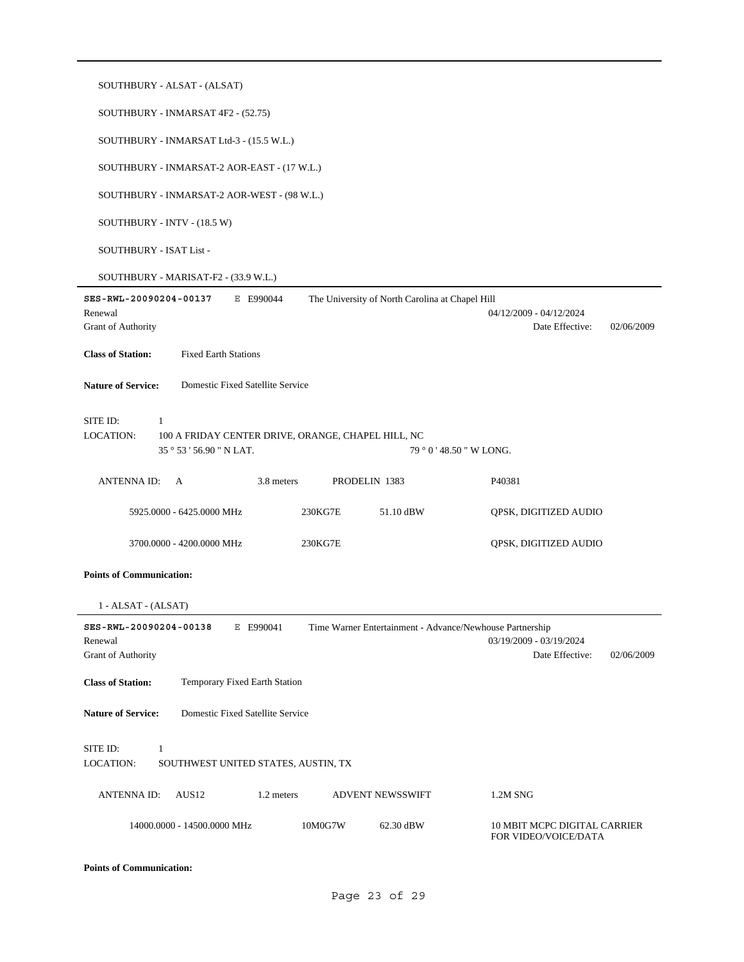| SOUTHBURY - ALSAT - (ALSAT)                                                                                                         |                                                          |  |  |  |  |  |  |  |
|-------------------------------------------------------------------------------------------------------------------------------------|----------------------------------------------------------|--|--|--|--|--|--|--|
| SOUTHBURY - INMARSAT 4F2 - (52.75)                                                                                                  |                                                          |  |  |  |  |  |  |  |
| SOUTHBURY - INMARSAT Ltd-3 - (15.5 W.L.)                                                                                            |                                                          |  |  |  |  |  |  |  |
| SOUTHBURY - INMARSAT-2 AOR-EAST - (17 W.L.)                                                                                         |                                                          |  |  |  |  |  |  |  |
| SOUTHBURY - INMARSAT-2 AOR-WEST - (98 W.L.)                                                                                         |                                                          |  |  |  |  |  |  |  |
| SOUTHBURY - INTV - (18.5 W)                                                                                                         |                                                          |  |  |  |  |  |  |  |
| SOUTHBURY - ISAT List -                                                                                                             |                                                          |  |  |  |  |  |  |  |
| SOUTHBURY - MARISAT-F2 - (33.9 W.L.)                                                                                                |                                                          |  |  |  |  |  |  |  |
| SES-RWL-20090204-00137<br>The University of North Carolina at Chapel Hill<br>E E990044<br>Renewal<br><b>Grant of Authority</b>      | 04/12/2009 - 04/12/2024<br>Date Effective:<br>02/06/2009 |  |  |  |  |  |  |  |
| <b>Class of Station:</b><br><b>Fixed Earth Stations</b>                                                                             |                                                          |  |  |  |  |  |  |  |
| Domestic Fixed Satellite Service<br><b>Nature of Service:</b>                                                                       |                                                          |  |  |  |  |  |  |  |
| SITE ID:<br>1<br>LOCATION:<br>100 A FRIDAY CENTER DRIVE, ORANGE, CHAPEL HILL, NC<br>35°53'56.90" N LAT.<br>79 ° 0 ' 48.50 " W LONG. |                                                          |  |  |  |  |  |  |  |
| <b>ANTENNA ID:</b><br>3.8 meters<br>PRODELIN 1383<br>A                                                                              | P40381                                                   |  |  |  |  |  |  |  |
|                                                                                                                                     |                                                          |  |  |  |  |  |  |  |
| 5925.0000 - 6425.0000 MHz<br>230KG7E<br>51.10 dBW                                                                                   | QPSK, DIGITIZED AUDIO                                    |  |  |  |  |  |  |  |
| 3700.0000 - 4200.0000 MHz<br>230KG7E                                                                                                | QPSK, DIGITIZED AUDIO                                    |  |  |  |  |  |  |  |
| <b>Points of Communication:</b>                                                                                                     |                                                          |  |  |  |  |  |  |  |
| $1 - ALSAT - (ALSAT)$                                                                                                               |                                                          |  |  |  |  |  |  |  |
| SES-RWL-20090204-00138<br>E E990041<br>Time Warner Entertainment - Advance/Newhouse Partnership<br>Renewal<br>Grant of Authority    | 03/19/2009 - 03/19/2024<br>Date Effective:<br>02/06/2009 |  |  |  |  |  |  |  |
| <b>Class of Station:</b><br>Temporary Fixed Earth Station                                                                           |                                                          |  |  |  |  |  |  |  |
| Domestic Fixed Satellite Service<br><b>Nature of Service:</b>                                                                       |                                                          |  |  |  |  |  |  |  |
| SITE ID:<br>$\mathbf{1}$<br>LOCATION:<br>SOUTHWEST UNITED STATES, AUSTIN, TX                                                        |                                                          |  |  |  |  |  |  |  |
| AUS12<br>1.2 meters<br><b>ANTENNAID:</b><br><b>ADVENT NEWSSWIFT</b>                                                                 | 1.2M SNG                                                 |  |  |  |  |  |  |  |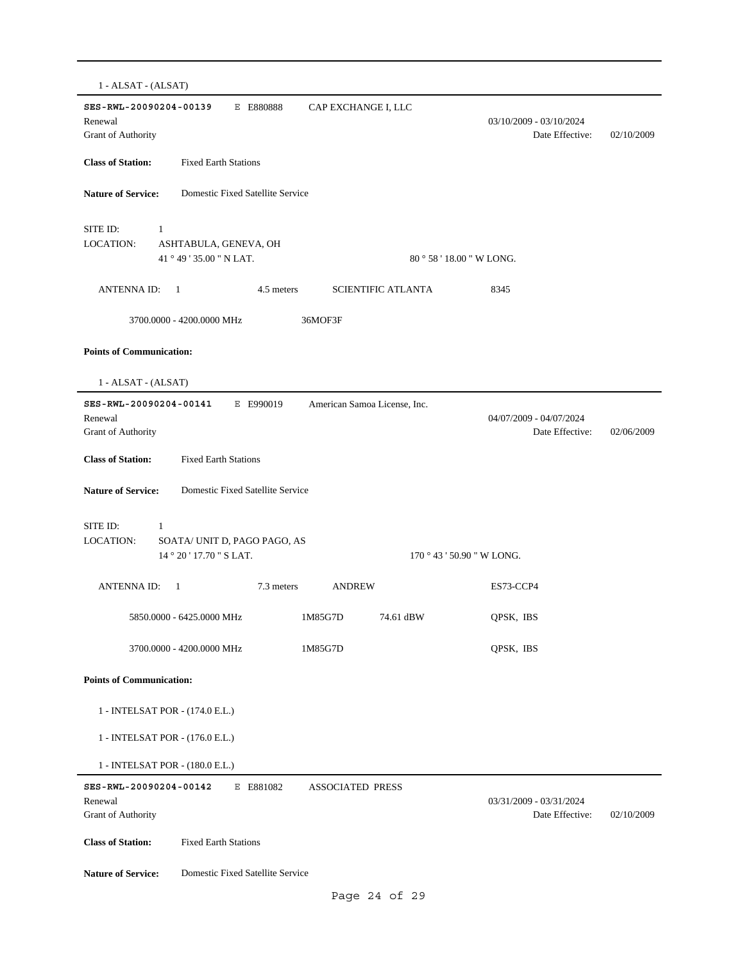| 1 - ALSAT - (ALSAT)                                                                                      |                                |                                            |            |
|----------------------------------------------------------------------------------------------------------|--------------------------------|--------------------------------------------|------------|
| SES-RWL-20090204-00139<br>E E880888<br>Renewal<br>Grant of Authority                                     | CAP EXCHANGE I, LLC            | 03/10/2009 - 03/10/2024<br>Date Effective: | 02/10/2009 |
| <b>Class of Station:</b><br><b>Fixed Earth Stations</b>                                                  |                                |                                            |            |
| <b>Nature of Service:</b><br>Domestic Fixed Satellite Service                                            |                                |                                            |            |
| SITE ID:<br>$\mathbf{1}$<br><b>LOCATION:</b><br>ASHTABULA, GENEVA, OH<br>41 ° 49 ' 35.00 " N LAT.        | $80^{\circ}58'18.00''$ W LONG. |                                            |            |
| <b>ANTENNA ID:</b><br>-1<br>4.5 meters                                                                   | <b>SCIENTIFIC ATLANTA</b>      | 8345                                       |            |
| 3700.0000 - 4200.0000 MHz                                                                                | 36MOF3F                        |                                            |            |
| <b>Points of Communication:</b>                                                                          |                                |                                            |            |
| 1 - ALSAT - (ALSAT)                                                                                      |                                |                                            |            |
| SES-RWL-20090204-00141<br>E E990019<br>Renewal<br>Grant of Authority                                     | American Samoa License, Inc.   | 04/07/2009 - 04/07/2024<br>Date Effective: | 02/06/2009 |
| <b>Class of Station:</b><br><b>Fixed Earth Stations</b>                                                  |                                |                                            |            |
| <b>Nature of Service:</b><br>Domestic Fixed Satellite Service                                            |                                |                                            |            |
| SITE ID:<br>$\mathbf{1}$<br><b>LOCATION:</b><br>SOATA/ UNIT D, PAGO PAGO, AS<br>14 ° 20 ' 17.70 " S LAT. | 170 ° 43 ' 50.90 " W LONG.     |                                            |            |
| <b>ANTENNAID:</b><br>7.3 meters<br>$\mathbf{1}$                                                          | <b>ANDREW</b>                  | ES73-CCP4                                  |            |
| 5850.0000 - 6425.0000 MHz                                                                                | 1M85G7D<br>74.61 dBW           | QPSK, IBS                                  |            |
| 3700.0000 - 4200.0000 MHz                                                                                | 1M85G7D                        | QPSK, IBS                                  |            |
| <b>Points of Communication:</b>                                                                          |                                |                                            |            |
| 1 - INTELSAT POR - (174.0 E.L.)                                                                          |                                |                                            |            |
| 1 - INTELSAT POR - (176.0 E.L.)                                                                          |                                |                                            |            |
| 1 - INTELSAT POR - (180.0 E.L.)                                                                          |                                |                                            |            |
| SES-RWL-20090204-00142<br>E E881082<br>Renewal<br>Grant of Authority                                     | <b>ASSOCIATED PRESS</b>        | 03/31/2009 - 03/31/2024<br>Date Effective: | 02/10/2009 |
| <b>Class of Station:</b><br><b>Fixed Earth Stations</b>                                                  |                                |                                            |            |
| <b>Nature of Service:</b><br>Domestic Fixed Satellite Service                                            |                                |                                            |            |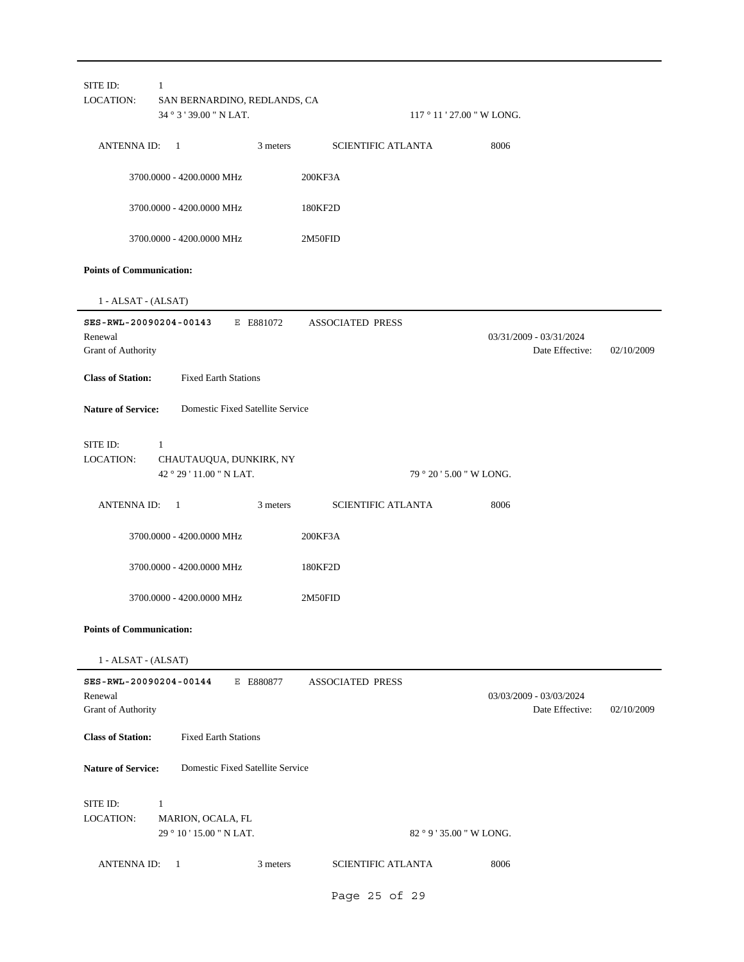| SITE ID:<br>LOCATION:                                   | 1<br>SAN BERNARDINO, REDLANDS, CA<br>34 ° 3 ' 39.00 " N LAT. |           |                           | $117°11'27.00''$ W LONG. |                                            |            |
|---------------------------------------------------------|--------------------------------------------------------------|-----------|---------------------------|--------------------------|--------------------------------------------|------------|
| ANTENNA ID: 1                                           |                                                              | 3 meters  | <b>SCIENTIFIC ATLANTA</b> |                          | 8006                                       |            |
|                                                         | 3700.0000 - 4200.0000 MHz                                    |           | 200KF3A                   |                          |                                            |            |
|                                                         | 3700.0000 - 4200.0000 MHz                                    |           | 180KF2D                   |                          |                                            |            |
|                                                         | 3700.0000 - 4200.0000 MHz                                    |           | 2M50FID                   |                          |                                            |            |
| <b>Points of Communication:</b>                         |                                                              |           |                           |                          |                                            |            |
| 1 - ALSAT - (ALSAT)                                     |                                                              |           |                           |                          |                                            |            |
| Renewal<br>Grant of Authority                           | SES-RWL-20090204-00143                                       | E E881072 | <b>ASSOCIATED PRESS</b>   |                          | 03/31/2009 - 03/31/2024<br>Date Effective: | 02/10/2009 |
| <b>Class of Station:</b>                                | <b>Fixed Earth Stations</b>                                  |           |                           |                          |                                            |            |
| <b>Nature of Service:</b>                               | Domestic Fixed Satellite Service                             |           |                           |                          |                                            |            |
| SITE ID:<br>LOCATION:                                   | 1<br>CHAUTAUQUA, DUNKIRK, NY<br>42 ° 29 ' 11.00 " N LAT.     |           |                           | 79 ° 20 ' 5.00 " W LONG. |                                            |            |
| ANTENNA ID: 1                                           |                                                              | 3 meters  | <b>SCIENTIFIC ATLANTA</b> |                          | 8006                                       |            |
|                                                         | 3700.0000 - 4200.0000 MHz                                    |           | 200KF3A                   |                          |                                            |            |
|                                                         | 3700.0000 - 4200.0000 MHz                                    |           | 180KF2D                   |                          |                                            |            |
|                                                         | 3700.0000 - 4200.0000 MHz                                    |           | 2M50FID                   |                          |                                            |            |
| <b>Points of Communication:</b>                         |                                                              |           |                           |                          |                                            |            |
| 1 - ALSAT - (ALSAT)                                     |                                                              |           |                           |                          |                                            |            |
| SES-RWL-20090204-00144<br>Renewal<br>Grant of Authority |                                                              | E E880877 | <b>ASSOCIATED PRESS</b>   |                          | 03/03/2009 - 03/03/2024<br>Date Effective: | 02/10/2009 |
| <b>Class of Station:</b>                                | <b>Fixed Earth Stations</b>                                  |           |                           |                          |                                            |            |
| <b>Nature of Service:</b>                               | Domestic Fixed Satellite Service                             |           |                           |                          |                                            |            |
| SITE ID:                                                | $\mathbf{1}$                                                 |           |                           |                          |                                            |            |
| LOCATION:                                               | MARION, OCALA, FL<br>29 ° 10 ' 15.00 " N LAT.                |           |                           | 82 ° 9 ' 35.00 " W LONG. |                                            |            |
| <b>ANTENNA ID:</b>                                      | - 1                                                          | 3 meters  | <b>SCIENTIFIC ATLANTA</b> |                          | 8006                                       |            |
|                                                         |                                                              |           | Page 25 of 29             |                          |                                            |            |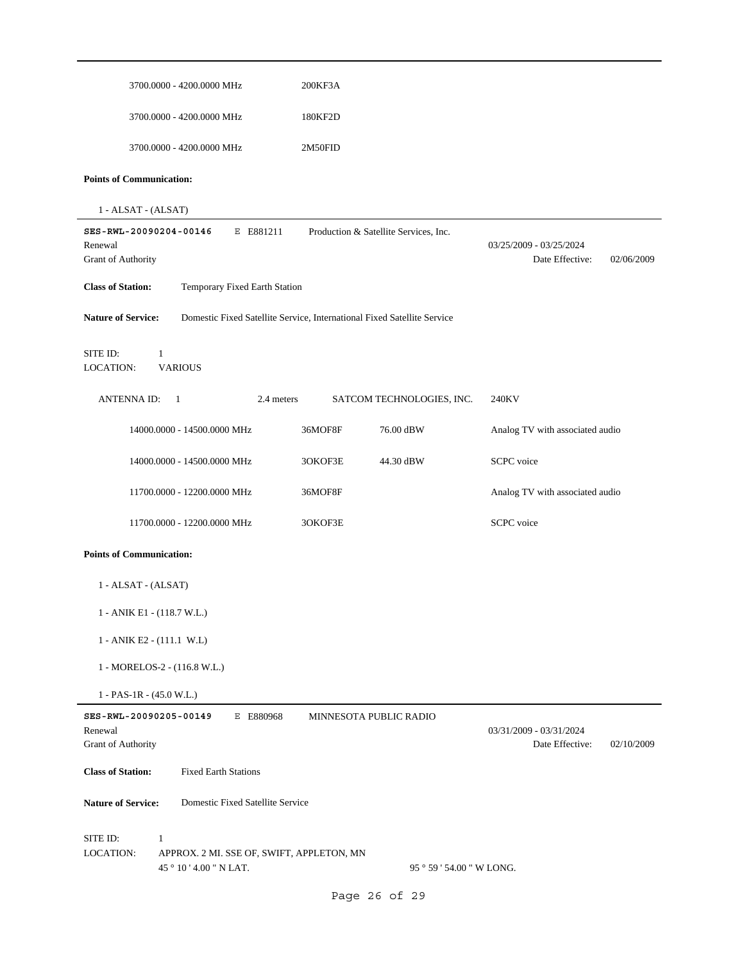| 3700.0000 - 4200.0000 MHz                                                                                     | 200KF3A                                                                 |                                                          |
|---------------------------------------------------------------------------------------------------------------|-------------------------------------------------------------------------|----------------------------------------------------------|
| 3700.0000 - 4200.0000 MHz                                                                                     | 180KF2D                                                                 |                                                          |
| 3700.0000 - 4200.0000 MHz                                                                                     | 2M50FID                                                                 |                                                          |
| <b>Points of Communication:</b>                                                                               |                                                                         |                                                          |
| 1 - ALSAT - (ALSAT)                                                                                           |                                                                         |                                                          |
| SES-RWL-20090204-00146<br>E E881211<br>Renewal<br>Grant of Authority                                          | Production & Satellite Services, Inc.                                   | 03/25/2009 - 03/25/2024<br>Date Effective:<br>02/06/2009 |
| <b>Class of Station:</b><br>Temporary Fixed Earth Station                                                     |                                                                         |                                                          |
| <b>Nature of Service:</b>                                                                                     | Domestic Fixed Satellite Service, International Fixed Satellite Service |                                                          |
| SITE ID:<br>1<br><b>VARIOUS</b><br>LOCATION:                                                                  |                                                                         |                                                          |
| <b>ANTENNA ID:</b><br>$\mathbf{1}$<br>2.4 meters                                                              | SATCOM TECHNOLOGIES, INC.                                               | 240KV                                                    |
| 14000.0000 - 14500.0000 MHz                                                                                   | 36MOF8F<br>76.00 dBW                                                    | Analog TV with associated audio                          |
| 14000.0000 - 14500.0000 MHz                                                                                   | 3OKOF3E<br>44.30 dBW                                                    | SCPC voice                                               |
| 11700.0000 - 12200.0000 MHz                                                                                   | 36MOF8F                                                                 | Analog TV with associated audio                          |
| 11700.0000 - 12200.0000 MHz                                                                                   | 3OKOF3E                                                                 | <b>SCPC</b> voice                                        |
| <b>Points of Communication:</b>                                                                               |                                                                         |                                                          |
| 1 - ALSAT - (ALSAT)                                                                                           |                                                                         |                                                          |
| 1 - ANIK E1 - (118.7 W.L.)                                                                                    |                                                                         |                                                          |
| 1 - ANIK E2 - (111.1 W.L)                                                                                     |                                                                         |                                                          |
| 1 - MORELOS-2 - (116.8 W.L.)                                                                                  |                                                                         |                                                          |
| $1 - PAS-1R - (45.0 W.L.)$                                                                                    |                                                                         |                                                          |
| SES-RWL-20090205-00149<br>E E880968<br>Renewal<br>Grant of Authority                                          | MINNESOTA PUBLIC RADIO                                                  | 03/31/2009 - 03/31/2024<br>Date Effective:<br>02/10/2009 |
| <b>Class of Station:</b><br><b>Fixed Earth Stations</b>                                                       |                                                                         |                                                          |
| <b>Nature of Service:</b><br>Domestic Fixed Satellite Service                                                 |                                                                         |                                                          |
| SITE ID:<br>$\mathbf{1}$<br>LOCATION:<br>APPROX. 2 MI. SSE OF, SWIFT, APPLETON, MN<br>45 ° 10 ' 4.00 " N LAT. | 95 ° 59 ' 54.00 " W LONG.                                               |                                                          |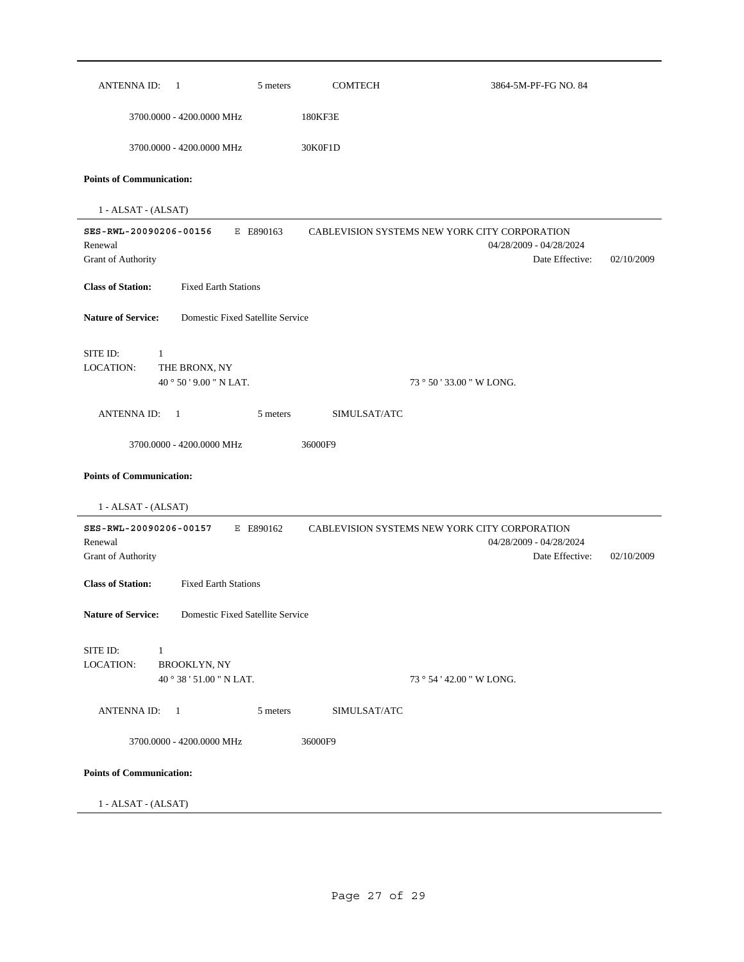| ANTENNA ID: 1                                                                                                     |                                                 | 5 meters  | <b>COMTECH</b> | 3864-5M-PF-FG NO. 84                                                                        |            |
|-------------------------------------------------------------------------------------------------------------------|-------------------------------------------------|-----------|----------------|---------------------------------------------------------------------------------------------|------------|
|                                                                                                                   | 3700.0000 - 4200.0000 MHz                       |           | 180KF3E        |                                                                                             |            |
|                                                                                                                   | 3700.0000 - 4200.0000 MHz                       |           | 30K0F1D        |                                                                                             |            |
| <b>Points of Communication:</b>                                                                                   |                                                 |           |                |                                                                                             |            |
| 1 - ALSAT - (ALSAT)                                                                                               |                                                 |           |                |                                                                                             |            |
| SES-RWL-20090206-00156<br>Renewal<br>Grant of Authority                                                           |                                                 | E E890163 |                | CABLEVISION SYSTEMS NEW YORK CITY CORPORATION<br>04/28/2009 - 04/28/2024<br>Date Effective: | 02/10/2009 |
| <b>Class of Station:</b>                                                                                          | <b>Fixed Earth Stations</b>                     |           |                |                                                                                             |            |
| <b>Nature of Service:</b>                                                                                         | Domestic Fixed Satellite Service                |           |                |                                                                                             |            |
| SITE ID:<br>$\mathbf{1}$<br>LOCATION:                                                                             | THE BRONX, NY<br>40°50'9.00" NLAT.              |           |                | 73 ° 50 ' 33.00 " W LONG.                                                                   |            |
| ANTENNA ID: 1                                                                                                     |                                                 | 5 meters  | SIMULSAT/ATC   |                                                                                             |            |
|                                                                                                                   | 3700.0000 - 4200.0000 MHz                       |           | 36000F9        |                                                                                             |            |
| <b>Points of Communication:</b><br>1 - ALSAT - (ALSAT)<br>SES-RWL-20090206-00157<br>Renewal<br>Grant of Authority |                                                 | E E890162 |                | CABLEVISION SYSTEMS NEW YORK CITY CORPORATION<br>04/28/2009 - 04/28/2024<br>Date Effective: | 02/10/2009 |
| <b>Class of Station:</b>                                                                                          | <b>Fixed Earth Stations</b>                     |           |                |                                                                                             |            |
| <b>Nature of Service:</b>                                                                                         | Domestic Fixed Satellite Service                |           |                |                                                                                             |            |
| SITE ID:<br>-1<br>LOCATION:                                                                                       | <b>BROOKLYN, NY</b><br>40 ° 38 ' 51.00 " N LAT. |           |                | 73 ° 54 ' 42.00 " W LONG.                                                                   |            |
| ANTENNA ID: 1                                                                                                     |                                                 | 5 meters  | SIMULSAT/ATC   |                                                                                             |            |
|                                                                                                                   | 3700.0000 - 4200.0000 MHz                       |           | 36000F9        |                                                                                             |            |
|                                                                                                                   |                                                 |           |                |                                                                                             |            |
| <b>Points of Communication:</b>                                                                                   |                                                 |           |                |                                                                                             |            |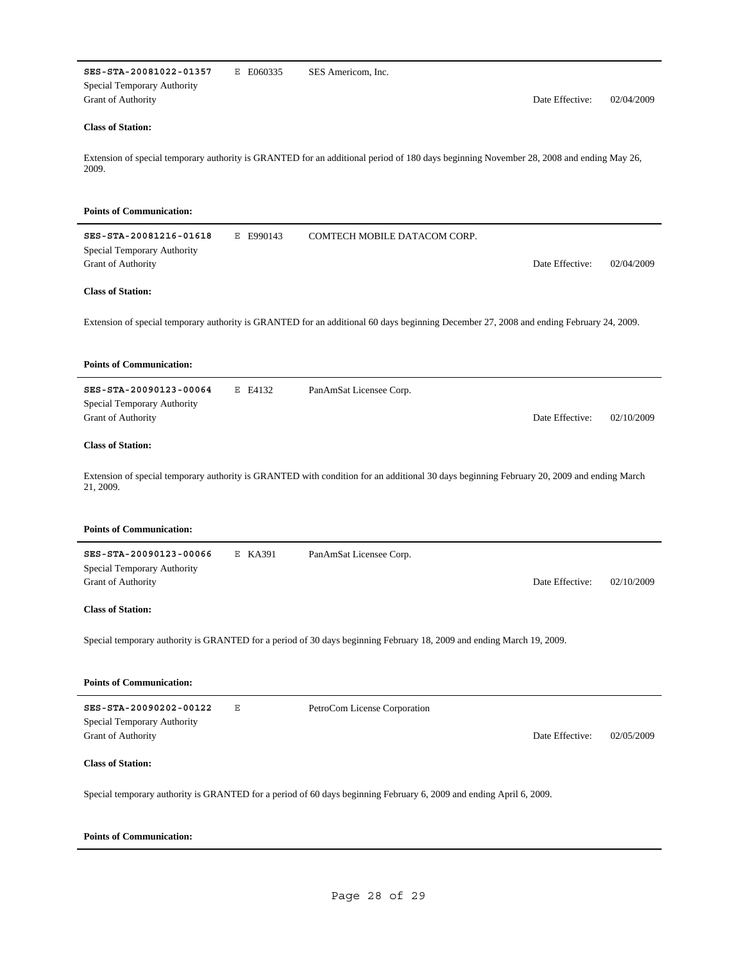| SES-STA-20081022-01357<br>Special Temporary Authority<br>Grant of Authority        | E E060335 | SES Americom, Inc.                                                                                                                        | Date Effective: | 02/04/2009 |
|------------------------------------------------------------------------------------|-----------|-------------------------------------------------------------------------------------------------------------------------------------------|-----------------|------------|
| <b>Class of Station:</b>                                                           |           |                                                                                                                                           |                 |            |
| 2009.                                                                              |           | Extension of special temporary authority is GRANTED for an additional period of 180 days beginning November 28, 2008 and ending May 26,   |                 |            |
| <b>Points of Communication:</b>                                                    |           |                                                                                                                                           |                 |            |
| SES-STA-20081216-01618<br>Special Temporary Authority<br>Grant of Authority        | E E990143 | COMTECH MOBILE DATACOM CORP.                                                                                                              | Date Effective: | 02/04/2009 |
| <b>Class of Station:</b>                                                           |           |                                                                                                                                           |                 |            |
|                                                                                    |           | Extension of special temporary authority is GRANTED for an additional 60 days beginning December 27, 2008 and ending February 24, 2009.   |                 |            |
| <b>Points of Communication:</b>                                                    |           |                                                                                                                                           |                 |            |
| SES-STA-20090123-00064<br>Special Temporary Authority<br>Grant of Authority        | E E4132   | PanAmSat Licensee Corp.                                                                                                                   | Date Effective: | 02/10/2009 |
| <b>Class of Station:</b>                                                           |           |                                                                                                                                           |                 |            |
| 21, 2009.                                                                          |           | Extension of special temporary authority is GRANTED with condition for an additional 30 days beginning February 20, 2009 and ending March |                 |            |
| <b>Points of Communication:</b>                                                    |           |                                                                                                                                           |                 |            |
| SES-STA-20090123-00066<br>Special Temporary Authority                              | E KA391   | PanAmSat Licensee Corp.                                                                                                                   |                 |            |
| Grant of Authority                                                                 |           |                                                                                                                                           | Date Effective: | 02/10/2009 |
| <b>Class of Station:</b>                                                           |           |                                                                                                                                           |                 |            |
|                                                                                    |           | Special temporary authority is GRANTED for a period of 30 days beginning February 18, 2009 and ending March 19, 2009.                     |                 |            |
| <b>Points of Communication:</b>                                                    |           |                                                                                                                                           |                 |            |
| SES-STA-20090202-00122<br>Special Temporary Authority<br><b>Grant of Authority</b> | Ε         | PetroCom License Corporation                                                                                                              | Date Effective: | 02/05/2009 |
| <b>Class of Station:</b>                                                           |           |                                                                                                                                           |                 |            |
|                                                                                    |           | Special temporary authority is GRANTED for a period of 60 days beginning February 6, 2009 and ending April 6, 2009.                       |                 |            |